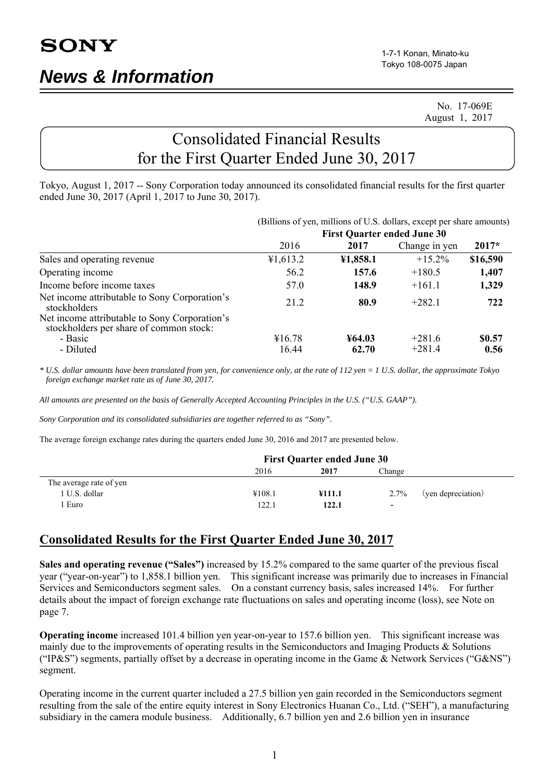No. 17-069E August 1, 2017

# Consolidated Financial Results for the First Quarter Ended June 30, 2017

Tokyo, August 1, 2017 -- Sony Corporation today announced its consolidated financial results for the first quarter ended June 30, 2017 (April 1, 2017 to June 30, 2017).

|                                                                                          | (Billions of yen, millions of U.S. dollars, except per share amounts) |                                    |               |          |  |
|------------------------------------------------------------------------------------------|-----------------------------------------------------------------------|------------------------------------|---------------|----------|--|
|                                                                                          |                                                                       | <b>First Quarter ended June 30</b> |               |          |  |
|                                                                                          | 2016                                                                  | 2017                               | Change in yen | $2017*$  |  |
| Sales and operating revenue                                                              | 41,613.2                                                              | ¥1,858.1                           | $+15.2%$      | \$16,590 |  |
| Operating income                                                                         | 56.2                                                                  | 157.6                              | $+180.5$      | 1,407    |  |
| Income before income taxes                                                               | 57.0                                                                  | 148.9                              | $+161.1$      | 1,329    |  |
| Net income attributable to Sony Corporation's<br>stockholders                            | 21.2                                                                  | 80.9                               | $+282.1$      | 722      |  |
| Net income attributable to Sony Corporation's<br>stockholders per share of common stock: |                                                                       |                                    |               |          |  |
| - Basic                                                                                  | ¥16.78                                                                | ¥64.03                             | $+281.6$      | \$0.57   |  |
| - Diluted                                                                                | 16.44                                                                 | 62.70                              | $+281.4$      | 0.56     |  |

*\* U.S. dollar amounts have been translated from yen, for convenience only, at the rate of 112 yen = 1 U.S. dollar, the approximate Tokyo foreign exchange market rate as of June 30, 2017.* 

*All amounts are presented on the basis of Generally Accepted Accounting Principles in the U.S. ("U.S. GAAP").* 

*Sony Corporation and its consolidated subsidiaries are together referred to as "Sony".* 

The average foreign exchange rates during the quarters ended June 30, 2016 and 2017 are presented below.

|                         | <b>First Quarter ended June 30</b> |        |         |                    |
|-------------------------|------------------------------------|--------|---------|--------------------|
|                         | 2016                               | 2017   | Change  |                    |
| The average rate of yen |                                    |        |         |                    |
| 1 U.S. dollar           | ¥108.1                             | ¥111.1 | $2.7\%$ | (yen depreciation) |
| Euro                    | 122.1                              | 122.1  | ٠       |                    |

## **Consolidated Results for the First Quarter Ended June 30, 2017**

**Sales and operating revenue ("Sales")** increased by 15.2% compared to the same quarter of the previous fiscal year ("year-on-year") to 1,858.1 billion yen. This significant increase was primarily due to increases in Financial Services and Semiconductors segment sales. On a constant currency basis, sales increased 14%. For further details about the impact of foreign exchange rate fluctuations on sales and operating income (loss), see Note on page 7.

**Operating income** increased 101.4 billion yen year-on-year to 157.6 billion yen. This significant increase was mainly due to the improvements of operating results in the Semiconductors and Imaging Products & Solutions ("IP&S") segments, partially offset by a decrease in operating income in the Game & Network Services ("G&NS") segment.

Operating income in the current quarter included a 27.5 billion yen gain recorded in the Semiconductors segment resulting from the sale of the entire equity interest in Sony Electronics Huanan Co., Ltd. ("SEH"), a manufacturing subsidiary in the camera module business. Additionally, 6.7 billion yen and 2.6 billion yen in insurance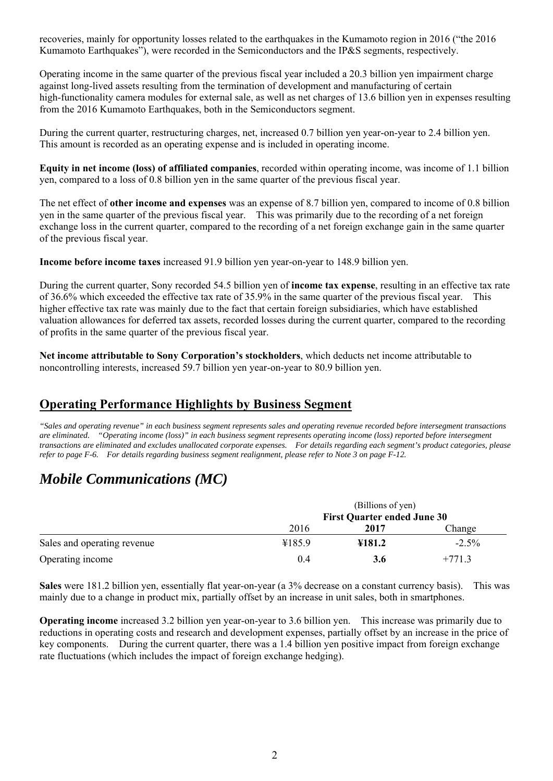recoveries, mainly for opportunity losses related to the earthquakes in the Kumamoto region in 2016 ("the 2016 Kumamoto Earthquakes"), were recorded in the Semiconductors and the IP&S segments, respectively.

Operating income in the same quarter of the previous fiscal year included a 20.3 billion yen impairment charge against long-lived assets resulting from the termination of development and manufacturing of certain high-functionality camera modules for external sale, as well as net charges of 13.6 billion yen in expenses resulting from the 2016 Kumamoto Earthquakes, both in the Semiconductors segment.

During the current quarter, restructuring charges, net, increased 0.7 billion yen year-on-year to 2.4 billion yen. This amount is recorded as an operating expense and is included in operating income.

**Equity in net income (loss) of affiliated companies**, recorded within operating income, was income of 1.1 billion yen, compared to a loss of 0.8 billion yen in the same quarter of the previous fiscal year.

The net effect of **other income and expenses** was an expense of 8.7 billion yen, compared to income of 0.8 billion yen in the same quarter of the previous fiscal year. This was primarily due to the recording of a net foreign exchange loss in the current quarter, compared to the recording of a net foreign exchange gain in the same quarter of the previous fiscal year.

**Income before income taxes** increased 91.9 billion yen year-on-year to 148.9 billion yen.

During the current quarter, Sony recorded 54.5 billion yen of **income tax expense**, resulting in an effective tax rate of 36.6% which exceeded the effective tax rate of 35.9% in the same quarter of the previous fiscal year. This higher effective tax rate was mainly due to the fact that certain foreign subsidiaries, which have established valuation allowances for deferred tax assets, recorded losses during the current quarter, compared to the recording of profits in the same quarter of the previous fiscal year.

**Net income attributable to Sony Corporation's stockholders**, which deducts net income attributable to noncontrolling interests, increased 59.7 billion yen year-on-year to 80.9 billion yen.

## **Operating Performance Highlights by Business Segment**

*"Sales and operating revenue" in each business segment represents sales and operating revenue recorded before intersegment transactions are eliminated. "Operating income (loss)" in each business segment represents operating income (loss) reported before intersegment transactions are eliminated and excludes unallocated corporate expenses. For details regarding each segment's product categories, please refer to page F-6. For details regarding business segment realignment, please refer to Note 3 on page F-12.*

# *Mobile Communications (MC)*

|                             |                                    | (Billions of yen) |          |  |
|-----------------------------|------------------------------------|-------------------|----------|--|
|                             | <b>First Quarter ended June 30</b> |                   |          |  |
|                             | 2016                               | 2017              | Change   |  |
| Sales and operating revenue | ¥185.9                             | ¥181.2            | $-2.5\%$ |  |
| Operating income            | 0.4                                | 3.6               | $+771.3$ |  |

**Sales** were 181.2 billion yen, essentially flat year-on-year (a 3% decrease on a constant currency basis). This was mainly due to a change in product mix, partially offset by an increase in unit sales, both in smartphones.

**Operating income** increased 3.2 billion yen year-on-year to 3.6 billion yen. This increase was primarily due to reductions in operating costs and research and development expenses, partially offset by an increase in the price of key components. During the current quarter, there was a 1.4 billion yen positive impact from foreign exchange rate fluctuations (which includes the impact of foreign exchange hedging).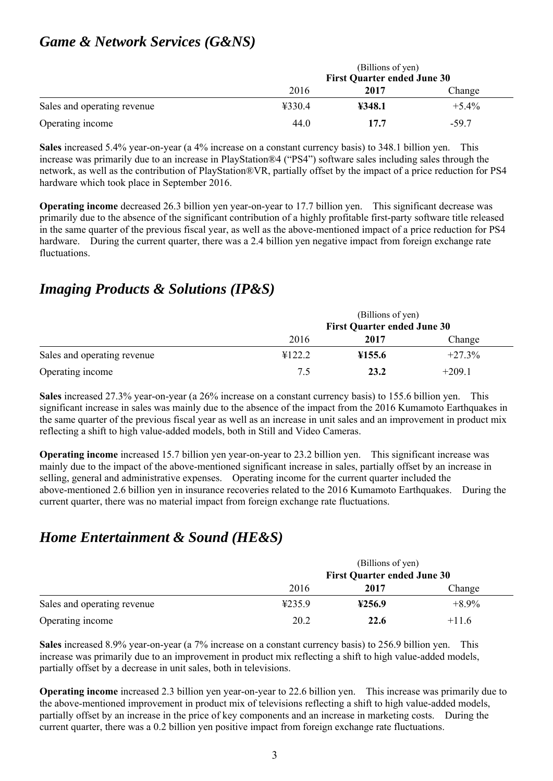## *Game & Network Services (G&NS)*

|                             |                                    | (Billions of yen) |          |  |
|-----------------------------|------------------------------------|-------------------|----------|--|
|                             | <b>First Quarter ended June 30</b> |                   |          |  |
|                             | 2016                               | 2017              | Change   |  |
| Sales and operating revenue | ¥330.4                             | ¥348.1            | $+5.4\%$ |  |
| Operating income            | 44.0                               | 17.7              | $-59.7$  |  |

**Sales** increased 5.4% year-on-year (a 4% increase on a constant currency basis) to 348.1 billion yen. This increase was primarily due to an increase in PlayStation®4 ("PS4") software sales including sales through the network, as well as the contribution of PlayStation®VR, partially offset by the impact of a price reduction for PS4 hardware which took place in September 2016.

**Operating income** decreased 26.3 billion yen year-on-year to 17.7 billion yen. This significant decrease was primarily due to the absence of the significant contribution of a highly profitable first-party software title released in the same quarter of the previous fiscal year, as well as the above-mentioned impact of a price reduction for PS4 hardware. During the current quarter, there was a 2.4 billion yen negative impact from foreign exchange rate fluctuations.

# *Imaging Products & Solutions (IP&S)*

|                             |                                    | (Billions of yen) |           |  |
|-----------------------------|------------------------------------|-------------------|-----------|--|
|                             | <b>First Quarter ended June 30</b> |                   |           |  |
|                             | 2016                               | 2017              | Change    |  |
| Sales and operating revenue | ¥122.2                             | $*155.6$          | $+27.3\%$ |  |
| Operating income            | 7.5                                | 23.2              | $+209.1$  |  |

**Sales** increased 27.3% year-on-year (a 26% increase on a constant currency basis) to 155.6 billion yen. This significant increase in sales was mainly due to the absence of the impact from the 2016 Kumamoto Earthquakes in the same quarter of the previous fiscal year as well as an increase in unit sales and an improvement in product mix reflecting a shift to high value-added models, both in Still and Video Cameras.

**Operating income** increased 15.7 billion yen year-on-year to 23.2 billion yen. This significant increase was mainly due to the impact of the above-mentioned significant increase in sales, partially offset by an increase in selling, general and administrative expenses. Operating income for the current quarter included the above-mentioned 2.6 billion yen in insurance recoveries related to the 2016 Kumamoto Earthquakes. During the current quarter, there was no material impact from foreign exchange rate fluctuations.

# *Home Entertainment & Sound (HE&S)*

|                             |                                    | (Billions of yen) |          |  |  |
|-----------------------------|------------------------------------|-------------------|----------|--|--|
|                             | <b>First Quarter ended June 30</b> |                   |          |  |  |
|                             | 2016                               | 2017              | Change   |  |  |
| Sales and operating revenue | 4235.9                             | 4256.9            | $+8.9\%$ |  |  |
| Operating income            | 20.2                               | 22.6              | $+11.6$  |  |  |

**Sales** increased 8.9% year-on-year (a 7% increase on a constant currency basis) to 256.9 billion yen. This increase was primarily due to an improvement in product mix reflecting a shift to high value-added models, partially offset by a decrease in unit sales, both in televisions.

**Operating income** increased 2.3 billion yen year-on-year to 22.6 billion yen. This increase was primarily due to the above-mentioned improvement in product mix of televisions reflecting a shift to high value-added models, partially offset by an increase in the price of key components and an increase in marketing costs. During the current quarter, there was a 0.2 billion yen positive impact from foreign exchange rate fluctuations.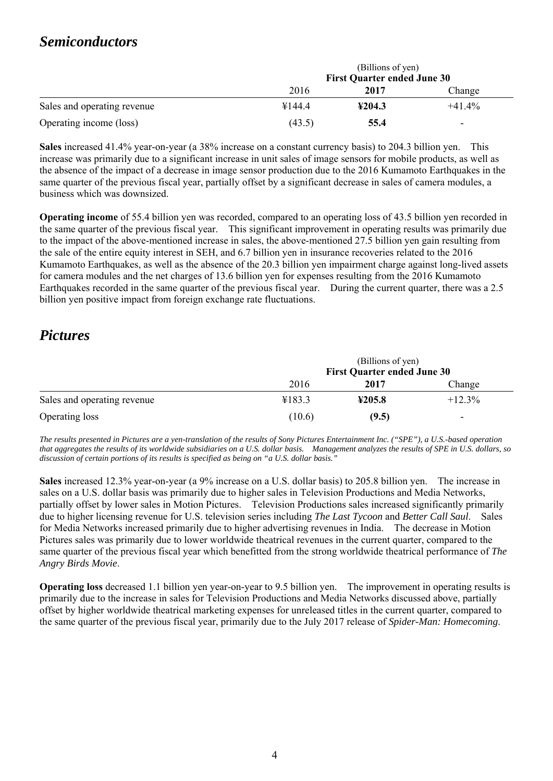## *Semiconductors*

|                             |                                    | (Billions of yen) |                          |  |
|-----------------------------|------------------------------------|-------------------|--------------------------|--|
|                             | <b>First Quarter ended June 30</b> |                   |                          |  |
|                             | 2016                               | 2017              | Change                   |  |
| Sales and operating revenue | ¥144.4                             | 4204.3            | $+41.4%$                 |  |
| Operating income (loss)     | (43.5)                             | 55.4              | $\overline{\phantom{0}}$ |  |

**Sales** increased 41.4% year-on-year (a 38% increase on a constant currency basis) to 204.3 billion yen. This increase was primarily due to a significant increase in unit sales of image sensors for mobile products, as well as the absence of the impact of a decrease in image sensor production due to the 2016 Kumamoto Earthquakes in the same quarter of the previous fiscal year, partially offset by a significant decrease in sales of camera modules, a business which was downsized.

**Operating income** of 55.4 billion yen was recorded, compared to an operating loss of 43.5 billion yen recorded in the same quarter of the previous fiscal year. This significant improvement in operating results was primarily due to the impact of the above-mentioned increase in sales, the above-mentioned 27.5 billion yen gain resulting from the sale of the entire equity interest in SEH, and 6.7 billion yen in insurance recoveries related to the 2016 Kumamoto Earthquakes, as well as the absence of the 20.3 billion yen impairment charge against long-lived assets for camera modules and the net charges of 13.6 billion yen for expenses resulting from the 2016 Kumamoto Earthquakes recorded in the same quarter of the previous fiscal year. During the current quarter, there was a 2.5 billion yen positive impact from foreign exchange rate fluctuations.

## *Pictures*

|                             | (Billions of yen)                  |        |           |  |  |
|-----------------------------|------------------------------------|--------|-----------|--|--|
|                             | <b>First Quarter ended June 30</b> |        |           |  |  |
|                             | 2016                               | 2017   | Change    |  |  |
| Sales and operating revenue | ¥183.3                             | ¥205.8 | $+12.3\%$ |  |  |
| Operating loss              | (10.6)                             | (9.5)  | -         |  |  |

*The results presented in Pictures are a yen-translation of the results of Sony Pictures Entertainment Inc. ("SPE"), a U.S.-based operation that aggregates the results of its worldwide subsidiaries on a U.S. dollar basis. Management analyzes the results of SPE in U.S. dollars, so discussion of certain portions of its results is specified as being on "a U.S. dollar basis."* 

**Sales** increased 12.3% year-on-year (a 9% increase on a U.S. dollar basis) to 205.8 billion yen. The increase in sales on a U.S. dollar basis was primarily due to higher sales in Television Productions and Media Networks, partially offset by lower sales in Motion Pictures. Television Productions sales increased significantly primarily due to higher licensing revenue for U.S. television series including *The Last Tycoon* and *Better Call Saul*. Sales for Media Networks increased primarily due to higher advertising revenues in India. The decrease in Motion Pictures sales was primarily due to lower worldwide theatrical revenues in the current quarter, compared to the same quarter of the previous fiscal year which benefitted from the strong worldwide theatrical performance of *The Angry Birds Movie*.

**Operating loss** decreased 1.1 billion yen year-on-year to 9.5 billion yen. The improvement in operating results is primarily due to the increase in sales for Television Productions and Media Networks discussed above, partially offset by higher worldwide theatrical marketing expenses for unreleased titles in the current quarter, compared to the same quarter of the previous fiscal year, primarily due to the July 2017 release of *Spider-Man: Homecoming*.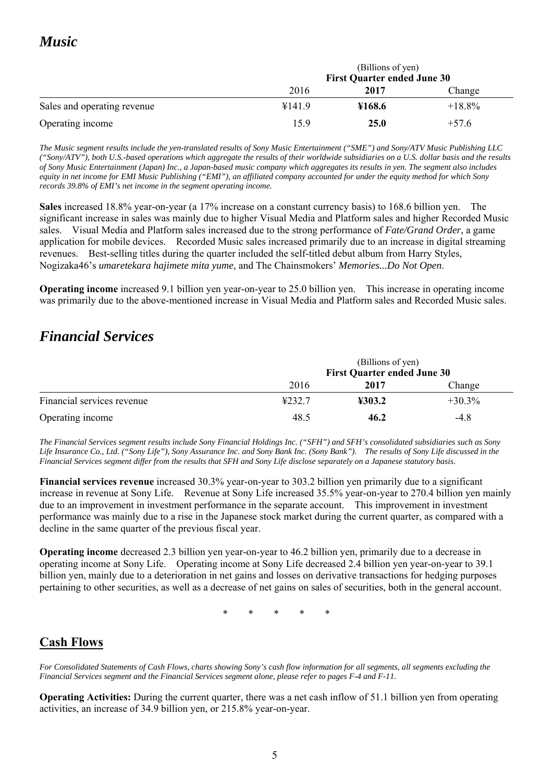## *Music*

|                             |                                    | (Billions of yen) |           |  |
|-----------------------------|------------------------------------|-------------------|-----------|--|
|                             | <b>First Quarter ended June 30</b> |                   |           |  |
|                             | 2016                               | 2017              | Change    |  |
| Sales and operating revenue | ¥141.9                             | ¥168.6            | $+18.8\%$ |  |
| Operating income            | 15.9                               | <b>25.0</b>       | $+57.6$   |  |

*The Music segment results include the yen-translated results of Sony Music Entertainment ("SME") and Sony/ATV Music Publishing LLC ("Sony/ATV"), both U.S.-based operations which aggregate the results of their worldwide subsidiaries on a U.S. dollar basis and the results of Sony Music Entertainment (Japan) Inc., a Japan-based music company which aggregates its results in yen. The segment also includes equity in net income for EMI Music Publishing ("EMI"), an affiliated company accounted for under the equity method for which Sony records 39.8% of EMI's net income in the segment operating income.* 

**Sales** increased 18.8% year-on-year (a 17% increase on a constant currency basis) to 168.6 billion yen. The significant increase in sales was mainly due to higher Visual Media and Platform sales and higher Recorded Music sales. Visual Media and Platform sales increased due to the strong performance of *Fate/Grand Order*, a game application for mobile devices. Recorded Music sales increased primarily due to an increase in digital streaming revenues. Best-selling titles during the quarter included the self-titled debut album from Harry Styles, Nogizaka46's *umaretekara hajimete mita yume*, and The Chainsmokers' *Memories...Do Not Open*.

**Operating income** increased 9.1 billion yen year-on-year to 25.0 billion yen. This increase in operating income was primarily due to the above-mentioned increase in Visual Media and Platform sales and Recorded Music sales.

## *Financial Services*

|                            |                                    | (Billions of yen) |           |  |
|----------------------------|------------------------------------|-------------------|-----------|--|
|                            | <b>First Quarter ended June 30</b> |                   |           |  |
|                            | 2016                               | 2017              | Change    |  |
| Financial services revenue | 4232.7                             | 4303.2            | $+30.3\%$ |  |
| Operating income           | 48.5                               | 46.2              | $-4.8$    |  |

*The Financial Services segment results include Sony Financial Holdings Inc. ("SFH") and SFH's consolidated subsidiaries such as Sony Life Insurance Co., Ltd. ("Sony Life"), Sony Assurance Inc. and Sony Bank Inc. (Sony Bank"). The results of Sony Life discussed in the Financial Services segment differ from the results that SFH and Sony Life disclose separately on a Japanese statutory basis.* 

**Financial services revenue** increased 30.3% year-on-year to 303.2 billion yen primarily due to a significant increase in revenue at Sony Life. Revenue at Sony Life increased 35.5% year-on-year to 270.4 billion yen mainly due to an improvement in investment performance in the separate account. This improvement in investment performance was mainly due to a rise in the Japanese stock market during the current quarter, as compared with a decline in the same quarter of the previous fiscal year.

**Operating income** decreased 2.3 billion yen year-on-year to 46.2 billion yen, primarily due to a decrease in operating income at Sony Life. Operating income at Sony Life decreased 2.4 billion yen year-on-year to 39.1 billion yen, mainly due to a deterioration in net gains and losses on derivative transactions for hedging purposes pertaining to other securities, as well as a decrease of net gains on sales of securities, both in the general account.

\* \* \* \* \*

## **Cash Flows**

*For Consolidated Statements of Cash Flows, charts showing Sony's cash flow information for all segments, all segments excluding the Financial Services segment and the Financial Services segment alone, please refer to pages F-4 and F-11.* 

**Operating Activities:** During the current quarter, there was a net cash inflow of 51.1 billion yen from operating activities, an increase of 34.9 billion yen, or 215.8% year-on-year.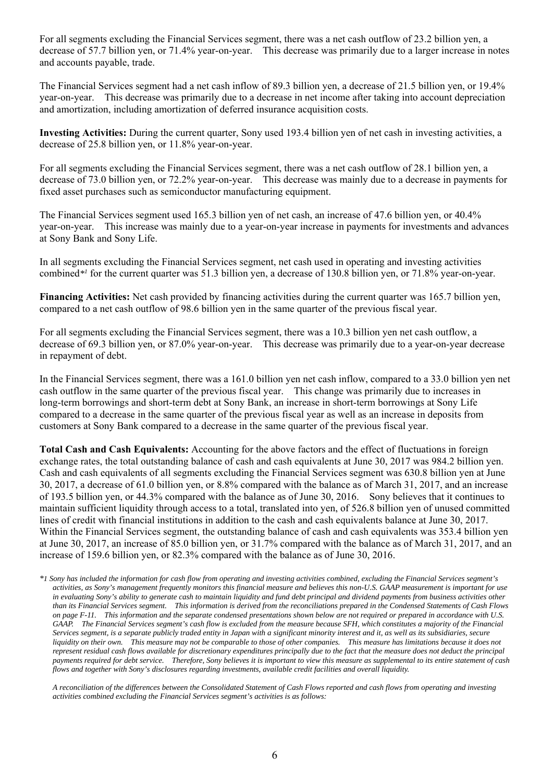For all segments excluding the Financial Services segment, there was a net cash outflow of 23.2 billion yen, a decrease of 57.7 billion yen, or 71.4% year-on-year. This decrease was primarily due to a larger increase in notes and accounts payable, trade.

The Financial Services segment had a net cash inflow of 89.3 billion yen, a decrease of 21.5 billion yen, or 19.4% year-on-year. This decrease was primarily due to a decrease in net income after taking into account depreciation and amortization, including amortization of deferred insurance acquisition costs.

**Investing Activities:** During the current quarter, Sony used 193.4 billion yen of net cash in investing activities, a decrease of 25.8 billion yen, or 11.8% year-on-year.

For all segments excluding the Financial Services segment, there was a net cash outflow of 28.1 billion yen, a decrease of 73.0 billion yen, or 72.2% year-on-year. This decrease was mainly due to a decrease in payments for fixed asset purchases such as semiconductor manufacturing equipment.

The Financial Services segment used 165.3 billion yen of net cash, an increase of 47.6 billion yen, or 40.4% year-on-year. This increase was mainly due to a year-on-year increase in payments for investments and advances at Sony Bank and Sony Life.

In all segments excluding the Financial Services segment, net cash used in operating and investing activities combined*\*1* for the current quarter was 51.3 billion yen, a decrease of 130.8 billion yen, or 71.8% year-on-year.

**Financing Activities:** Net cash provided by financing activities during the current quarter was 165.7 billion yen, compared to a net cash outflow of 98.6 billion yen in the same quarter of the previous fiscal year.

For all segments excluding the Financial Services segment, there was a 10.3 billion yen net cash outflow, a decrease of 69.3 billion yen, or 87.0% year-on-year. This decrease was primarily due to a year-on-year decrease in repayment of debt.

In the Financial Services segment, there was a 161.0 billion yen net cash inflow, compared to a 33.0 billion yen net cash outflow in the same quarter of the previous fiscal year. This change was primarily due to increases in long-term borrowings and short-term debt at Sony Bank, an increase in short-term borrowings at Sony Life compared to a decrease in the same quarter of the previous fiscal year as well as an increase in deposits from customers at Sony Bank compared to a decrease in the same quarter of the previous fiscal year.

**Total Cash and Cash Equivalents:** Accounting for the above factors and the effect of fluctuations in foreign exchange rates, the total outstanding balance of cash and cash equivalents at June 30, 2017 was 984.2 billion yen. Cash and cash equivalents of all segments excluding the Financial Services segment was 630.8 billion yen at June 30, 2017, a decrease of 61.0 billion yen, or 8.8% compared with the balance as of March 31, 2017, and an increase of 193.5 billion yen, or 44.3% compared with the balance as of June 30, 2016. Sony believes that it continues to maintain sufficient liquidity through access to a total, translated into yen, of 526.8 billion yen of unused committed lines of credit with financial institutions in addition to the cash and cash equivalents balance at June 30, 2017. Within the Financial Services segment, the outstanding balance of cash and cash equivalents was 353.4 billion yen at June 30, 2017, an increase of 85.0 billion yen, or 31.7% compared with the balance as of March 31, 2017, and an increase of 159.6 billion yen, or 82.3% compared with the balance as of June 30, 2016.

*A reconciliation of the differences between the Consolidated Statement of Cash Flows reported and cash flows from operating and investing activities combined excluding the Financial Services segment's activities is as follows:* 

*<sup>\*1</sup> Sony has included the information for cash flow from operating and investing activities combined, excluding the Financial Services segment's activities, as Sony's management frequently monitors this financial measure and believes this non-U.S. GAAP measurement is important for use in evaluating Sony's ability to generate cash to maintain liquidity and fund debt principal and dividend payments from business activities other than its Financial Services segment. This information is derived from the reconciliations prepared in the Condensed Statements of Cash Flows on page F-11. This information and the separate condensed presentations shown below are not required or prepared in accordance with U.S. GAAP. The Financial Services segment's cash flow is excluded from the measure because SFH, which constitutes a majority of the Financial Services segment, is a separate publicly traded entity in Japan with a significant minority interest and it, as well as its subsidiaries, secure liquidity on their own. This measure may not be comparable to those of other companies. This measure has limitations because it does not represent residual cash flows available for discretionary expenditures principally due to the fact that the measure does not deduct the principal payments required for debt service. Therefore, Sony believes it is important to view this measure as supplemental to its entire statement of cash flows and together with Sony's disclosures regarding investments, available credit facilities and overall liquidity.*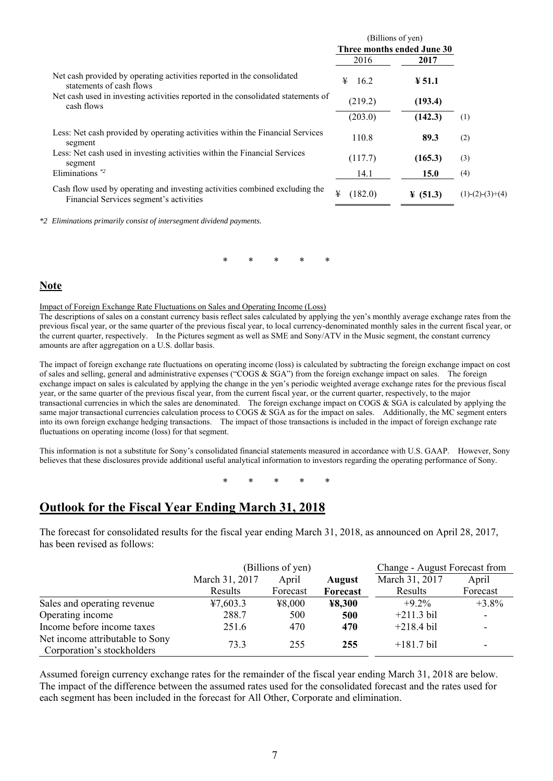|                                                                                                                        | (Billions of yen) |                            |                   |
|------------------------------------------------------------------------------------------------------------------------|-------------------|----------------------------|-------------------|
|                                                                                                                        |                   | Three months ended June 30 |                   |
|                                                                                                                        | 2016              | 2017                       |                   |
| Net cash provided by operating activities reported in the consolidated<br>statements of cash flows                     | 16.2<br>¥         | $\frac{1}{2}$ 51.1         |                   |
| Net cash used in investing activities reported in the consolidated statements of<br>cash flows                         | (219.2)           | (193.4)                    |                   |
|                                                                                                                        | (203.0)           | (142.3)                    | (1)               |
| Less: Net cash provided by operating activities within the Financial Services<br>segment                               | 110.8             | 89.3                       | (2)               |
| Less: Net cash used in investing activities within the Financial Services<br>segment                                   | (117.7)           | (165.3)                    | (3)               |
| Eliminations $*$ <sup>2</sup>                                                                                          | 14.1              | <b>15.0</b>                | (4)               |
| Cash flow used by operating and investing activities combined excluding the<br>Financial Services segment's activities | ¥<br>(182.0)      | $\frac{1}{2}$ (51.3)       | $(1)-(2)-(3)+(4)$ |
|                                                                                                                        |                   |                            |                   |

*\*2 Eliminations primarily consist of intersegment dividend payments.* 

\* \* \* \* \*

## **Note**

Impact of Foreign Exchange Rate Fluctuations on Sales and Operating Income (Loss)

The descriptions of sales on a constant currency basis reflect sales calculated by applying the yen's monthly average exchange rates from the previous fiscal year, or the same quarter of the previous fiscal year, to local currency-denominated monthly sales in the current fiscal year, or the current quarter, respectively. In the Pictures segment as well as SME and Sony/ATV in the Music segment, the constant currency amounts are after aggregation on a U.S. dollar basis.

The impact of foreign exchange rate fluctuations on operating income (loss) is calculated by subtracting the foreign exchange impact on cost of sales and selling, general and administrative expenses ("COGS & SGA") from the foreign exchange impact on sales. The foreign exchange impact on sales is calculated by applying the change in the yen's periodic weighted average exchange rates for the previous fiscal year, or the same quarter of the previous fiscal year, from the current fiscal year, or the current quarter, respectively, to the major transactional currencies in which the sales are denominated. The foreign exchange impact on COGS & SGA is calculated by applying the same major transactional currencies calculation process to COGS & SGA as for the impact on sales. Additionally, the MC segment enters into its own foreign exchange hedging transactions. The impact of those transactions is included in the impact of foreign exchange rate fluctuations on operating income (loss) for that segment.

This information is not a substitute for Sony's consolidated financial statements measured in accordance with U.S. GAAP. However, Sony believes that these disclosures provide additional useful analytical information to investors regarding the operating performance of Sony.

\* \* \* \* \*

## **Outlook for the Fiscal Year Ending March 31, 2018**

The forecast for consolidated results for the fiscal year ending March 31, 2018, as announced on April 28, 2017, has been revised as follows:

|                                                               | (Billions of yen) |          |               | Change - August Forecast from |          |
|---------------------------------------------------------------|-------------------|----------|---------------|-------------------------------|----------|
|                                                               | March 31, 2017    | April    | <b>August</b> | March 31, 2017                | April    |
|                                                               | Results           | Forecast | Forecast      | Results                       | Forecast |
| Sales and operating revenue                                   | 47,603.3          | ¥8,000   | ¥8,300        | $+9.2%$                       | $+3.8\%$ |
| Operating income                                              | 288.7             | 500      | 500           | $+211.3$ bil                  |          |
| Income before income taxes                                    | 251.6             | 470      | 470           | $+218.4$ bil                  |          |
| Net income attributable to Sony<br>Corporation's stockholders | 73.3              | 255      | 255           | $+181.7$ bil                  |          |

Assumed foreign currency exchange rates for the remainder of the fiscal year ending March 31, 2018 are below. The impact of the difference between the assumed rates used for the consolidated forecast and the rates used for each segment has been included in the forecast for All Other, Corporate and elimination.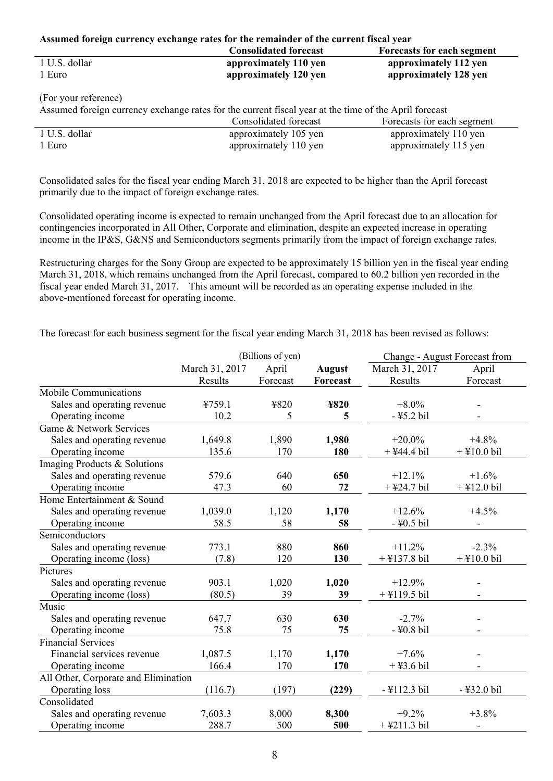#### **Assumed foreign currency exchange rates for the remainder of the current fiscal year**

|               |  | <b>Consolidated forecast</b> | <b>Forecasts for each segment</b> |
|---------------|--|------------------------------|-----------------------------------|
|               |  |                              |                                   |
| 1 U.S. dollar |  | approximately 110 yen        | approximately 112 yen             |
| 1 Euro        |  | approximately 120 yen        | approximately 128 yen             |

### (For your reference)

Assumed foreign currency exchange rates for the current fiscal year at the time of the April forecast

|               | Consolidated forecast | Forecasts for each segment |
|---------------|-----------------------|----------------------------|
| 1 U.S. dollar | approximately 105 yen | approximately 110 yen      |
| 1 Euro        | approximately 110 yen | approximately 115 yen      |

Consolidated sales for the fiscal year ending March 31, 2018 are expected to be higher than the April forecast primarily due to the impact of foreign exchange rates.

Consolidated operating income is expected to remain unchanged from the April forecast due to an allocation for contingencies incorporated in All Other, Corporate and elimination, despite an expected increase in operating income in the IP&S, G&NS and Semiconductors segments primarily from the impact of foreign exchange rates.

Restructuring charges for the Sony Group are expected to be approximately 15 billion yen in the fiscal year ending March 31, 2018, which remains unchanged from the April forecast, compared to 60.2 billion yen recorded in the fiscal year ended March 31, 2017. This amount will be recorded as an operating expense included in the above-mentioned forecast for operating income.

The forecast for each business segment for the fiscal year ending March 31, 2018 has been revised as follows:

|                                      |                | (Billions of yen) |                 | Change - August Forecast from |                          |  |  |
|--------------------------------------|----------------|-------------------|-----------------|-------------------------------|--------------------------|--|--|
|                                      | March 31, 2017 | April             | <b>August</b>   | March 31, 2017                | April                    |  |  |
|                                      | Results        | Forecast          | <b>Forecast</b> | Results                       | Forecast                 |  |  |
| Mobile Communications                |                |                   |                 |                               |                          |  |  |
| Sales and operating revenue          | ¥759.1         | ¥820              | ¥820            | $+8.0\%$                      |                          |  |  |
| Operating income                     | 10.2           | 5                 | 5               | $-45.2$ bil                   |                          |  |  |
| Game & Network Services              |                |                   |                 |                               |                          |  |  |
| Sales and operating revenue          | 1,649.8        | 1,890             | 1,980           | $+20.0\%$                     | $+4.8%$                  |  |  |
| Operating income                     | 135.6          | 170               | 180             | $+$ ¥44.4 bil                 | $+$ ¥10.0 bil            |  |  |
| Imaging Products & Solutions         |                |                   |                 |                               |                          |  |  |
| Sales and operating revenue          | 579.6          | 640               | 650             | $+12.1%$                      | $+1.6%$                  |  |  |
| Operating income                     | 47.3           | 60                | 72              | $+$ ¥24.7 bil                 | $+$ ¥12.0 bil            |  |  |
| Home Entertainment & Sound           |                |                   |                 |                               |                          |  |  |
| Sales and operating revenue          | 1,039.0        | 1,120             | 1,170           | $+12.6%$                      | $+4.5%$                  |  |  |
| Operating income                     | 58.5           | 58                | 58              | - ¥0.5 bil                    | $\frac{1}{2}$            |  |  |
| Semiconductors                       |                |                   |                 |                               |                          |  |  |
| Sales and operating revenue          | 773.1          | 880               | 860             | $+11.2%$                      | $-2.3%$                  |  |  |
| Operating income (loss)              | (7.8)          | 120               | 130             | $+$ ¥137.8 bil                | $+$ ¥10.0 bil            |  |  |
| Pictures                             |                |                   |                 |                               |                          |  |  |
| Sales and operating revenue          | 903.1          | 1,020             | 1,020           | $+12.9%$                      |                          |  |  |
| Operating income (loss)              | (80.5)         | 39                | 39              | $+$ ¥119.5 bil                |                          |  |  |
| Music                                |                |                   |                 |                               |                          |  |  |
| Sales and operating revenue          | 647.7          | 630               | 630             | $-2.7%$                       |                          |  |  |
| Operating income                     | 75.8           | 75                | 75              | -¥0.8 bil                     |                          |  |  |
| <b>Financial Services</b>            |                |                   |                 |                               |                          |  |  |
| Financial services revenue           | 1,087.5        | 1,170             | 1,170           | $+7.6%$                       |                          |  |  |
| Operating income                     | 166.4          | 170               | 170             | $+43.6$ bil                   |                          |  |  |
| All Other, Corporate and Elimination |                |                   |                 |                               |                          |  |  |
| Operating loss                       | (116.7)        | (197)             | (229)           | -¥112.3 bil                   | -¥32.0 bil               |  |  |
| Consolidated                         |                |                   |                 |                               |                          |  |  |
| Sales and operating revenue          | 7,603.3        | 8,000             | 8,300           | $+9.2%$                       | $+3.8%$                  |  |  |
| Operating income                     | 288.7          | 500               | 500             | $+$ ¥211.3 bil                | $\overline{\phantom{a}}$ |  |  |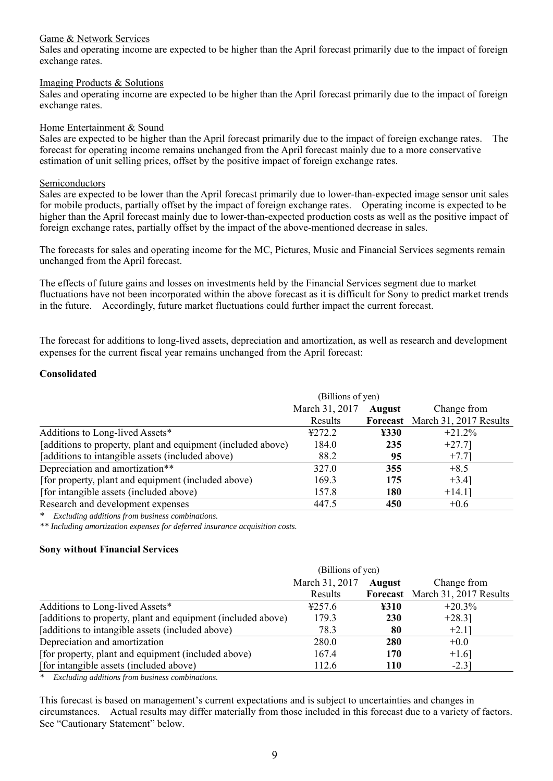### Game & Network Services

Sales and operating income are expected to be higher than the April forecast primarily due to the impact of foreign exchange rates.

### Imaging Products & Solutions

Sales and operating income are expected to be higher than the April forecast primarily due to the impact of foreign exchange rates.

## Home Entertainment & Sound

Sales are expected to be higher than the April forecast primarily due to the impact of foreign exchange rates. The forecast for operating income remains unchanged from the April forecast mainly due to a more conservative estimation of unit selling prices, offset by the positive impact of foreign exchange rates.

### Semiconductors

Sales are expected to be lower than the April forecast primarily due to lower-than-expected image sensor unit sales for mobile products, partially offset by the impact of foreign exchange rates. Operating income is expected to be higher than the April forecast mainly due to lower-than-expected production costs as well as the positive impact of foreign exchange rates, partially offset by the impact of the above-mentioned decrease in sales.

The forecasts for sales and operating income for the MC, Pictures, Music and Financial Services segments remain unchanged from the April forecast.

The effects of future gains and losses on investments held by the Financial Services segment due to market fluctuations have not been incorporated within the above forecast as it is difficult for Sony to predict market trends in the future. Accordingly, future market fluctuations could further impact the current forecast.

The forecast for additions to long-lived assets, depreciation and amortization, as well as research and development expenses for the current fiscal year remains unchanged from the April forecast:

### **Consolidated**

|                                                              | (Billions of yen) |               |                        |  |  |  |
|--------------------------------------------------------------|-------------------|---------------|------------------------|--|--|--|
|                                                              | March 31, 2017    | <b>August</b> | Change from            |  |  |  |
|                                                              | Results           | Forecast      | March 31, 2017 Results |  |  |  |
| Additions to Long-lived Assets*                              | 4272.2            | ¥330          | $+21.2%$               |  |  |  |
| [additions to property, plant and equipment (included above) | 184.0             | 235           | $+27.7$ ]              |  |  |  |
| [additions to intangible assets (included above)             | 88.2              | 95            | $+7.7$ ]               |  |  |  |
| Depreciation and amortization**                              | 327.0             | 355           | $+8.5$                 |  |  |  |
| [for property, plant and equipment (included above)          | 169.3             | 175           | $+3.4$ ]               |  |  |  |
| [for intangible assets (included above)                      | 157.8             | 180           | $+14.1$ ]              |  |  |  |
| Research and development expenses                            | 447.5             | 450           | $+0.6$                 |  |  |  |

*\* Excluding additions from business combinations.* 

*\*\* Including amortization expenses for deferred insurance acquisition costs.* 

### **Sony without Financial Services**

|                                                              | (Billions of yen) |               |                                 |  |  |  |
|--------------------------------------------------------------|-------------------|---------------|---------------------------------|--|--|--|
|                                                              | March 31, 2017    | <b>August</b> | Change from                     |  |  |  |
|                                                              | Results           |               | Forecast March 31, 2017 Results |  |  |  |
| Additions to Long-lived Assets*                              | 4257.6            | ¥310          | $+20.3%$                        |  |  |  |
| [additions to property, plant and equipment (included above) | 179.3             | <b>230</b>    | $+28.3$ ]                       |  |  |  |
| [additions to intangible assets (included above)             | 78.3              | 80            | $+2.1$ ]                        |  |  |  |
| Depreciation and amortization                                | 280.0             | 280           | $+0.0$                          |  |  |  |
| [for property, plant and equipment (included above)          | 167.4             | 170           | $+1.6$ ]                        |  |  |  |
| [for intangible assets (included above)                      | 112.6             | <b>110</b>    | $-2.31$                         |  |  |  |

*\* Excluding additions from business combinations.* 

This forecast is based on management's current expectations and is subject to uncertainties and changes in circumstances. Actual results may differ materially from those included in this forecast due to a variety of factors. See "Cautionary Statement" below.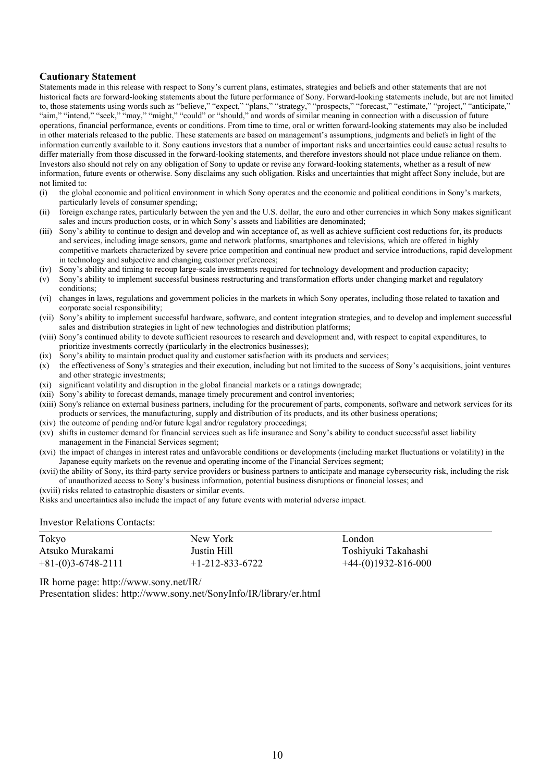#### **Cautionary Statement**

Statements made in this release with respect to Sony's current plans, estimates, strategies and beliefs and other statements that are not historical facts are forward-looking statements about the future performance of Sony. Forward-looking statements include, but are not limited to, those statements using words such as "believe," "expect," "plans," "strategy," "prospects," "forecast," "estimate," "project," "anticipate," "aim," "intend," "seek," "may," "might," "could" or "should," and words of similar meaning in connection with a discussion of future operations, financial performance, events or conditions. From time to time, oral or written forward-looking statements may also be included in other materials released to the public. These statements are based on management's assumptions, judgments and beliefs in light of the information currently available to it. Sony cautions investors that a number of important risks and uncertainties could cause actual results to differ materially from those discussed in the forward-looking statements, and therefore investors should not place undue reliance on them. Investors also should not rely on any obligation of Sony to update or revise any forward-looking statements, whether as a result of new information, future events or otherwise. Sony disclaims any such obligation. Risks and uncertainties that might affect Sony include, but are not limited to:

- (i) the global economic and political environment in which Sony operates and the economic and political conditions in Sony's markets, particularly levels of consumer spending;
- (ii) foreign exchange rates, particularly between the yen and the U.S. dollar, the euro and other currencies in which Sony makes significant sales and incurs production costs, or in which Sony's assets and liabilities are denominated;
- (iii) Sony's ability to continue to design and develop and win acceptance of, as well as achieve sufficient cost reductions for, its products and services, including image sensors, game and network platforms, smartphones and televisions, which are offered in highly competitive markets characterized by severe price competition and continual new product and service introductions, rapid development in technology and subjective and changing customer preferences;
- (iv) Sony's ability and timing to recoup large-scale investments required for technology development and production capacity;
- (v) Sony's ability to implement successful business restructuring and transformation efforts under changing market and regulatory conditions;
- (vi) changes in laws, regulations and government policies in the markets in which Sony operates, including those related to taxation and corporate social responsibility;
- (vii) Sony's ability to implement successful hardware, software, and content integration strategies, and to develop and implement successful sales and distribution strategies in light of new technologies and distribution platforms;
- (viii) Sony's continued ability to devote sufficient resources to research and development and, with respect to capital expenditures, to prioritize investments correctly (particularly in the electronics businesses);
- (ix) Sony's ability to maintain product quality and customer satisfaction with its products and services;
- (x) the effectiveness of Sony's strategies and their execution, including but not limited to the success of Sony's acquisitions, joint ventures and other strategic investments;
- (xi) significant volatility and disruption in the global financial markets or a ratings downgrade;
- (xii) Sony's ability to forecast demands, manage timely procurement and control inventories;
- (xiii) Sony's reliance on external business partners, including for the procurement of parts, components, software and network services for its products or services, the manufacturing, supply and distribution of its products, and its other business operations;
- $(xiv)$  the outcome of pending and/or future legal and/or regulatory proceedings;
- (xv) shifts in customer demand for financial services such as life insurance and Sony's ability to conduct successful asset liability management in the Financial Services segment;
- (xvi) the impact of changes in interest rates and unfavorable conditions or developments (including market fluctuations or volatility) in the Japanese equity markets on the revenue and operating income of the Financial Services segment;
- (xvii) the ability of Sony, its third-party service providers or business partners to anticipate and manage cybersecurity risk, including the risk of unauthorized access to Sony's business information, potential business disruptions or financial losses; and
- (xviii) risks related to catastrophic disasters or similar events.

Risks and uncertainties also include the impact of any future events with material adverse impact.

#### Investor Relations Contacts:

| Tokyo                | New York                | London                |
|----------------------|-------------------------|-----------------------|
| Atsuko Murakami      | Justin Hill             | Toshiyuki Takahashi   |
| $+81-(0)3-6748-2111$ | $+1 - 212 - 833 - 6722$ | $+44-(0)1932-816-000$ |

IR home page: http://www.sony.net/IR/

Presentation slides: http://www.sony.net/SonyInfo/IR/library/er.html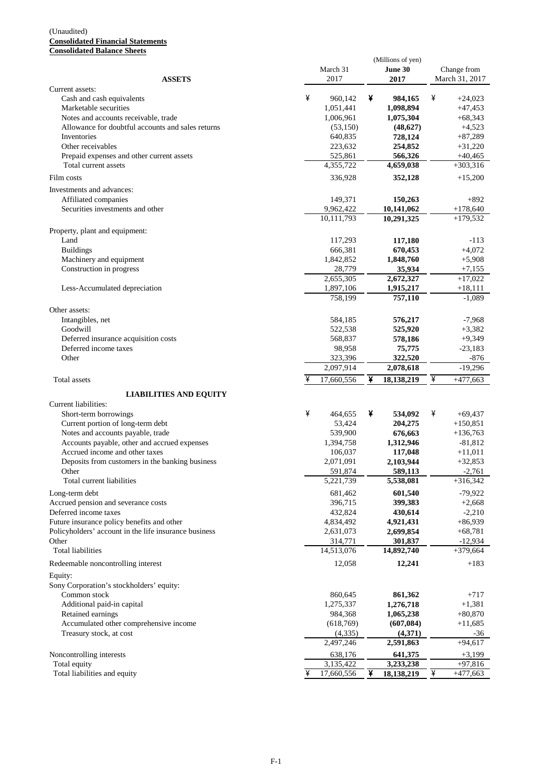#### (Unaudited) **Consolidated Financial Statements Consolidated Balance Sheets**

| March 31<br>June 30<br>Change from<br><b>ASSETS</b><br>2017<br>2017<br>March 31, 2017<br>Current assets:<br>¥<br>¥<br>¥<br>Cash and cash equivalents<br>960,142<br>984,165<br>$+24,023$<br>Marketable securities<br>1,051,441<br>1,098,894<br>$+47,453$<br>Notes and accounts receivable, trade<br>1,006,961<br>1,075,304<br>$+68,343$<br>Allowance for doubtful accounts and sales returns<br>$+4,523$<br>(53, 150)<br>(48,627)<br>Inventories<br>640,835<br>728,124<br>$+87,289$<br>Other receivables<br>223,632<br>254,852<br>$+31,220$<br>Prepaid expenses and other current assets<br>525,861<br>566,326<br>$+40,465$<br>Total current assets<br>4,355,722<br>4,659,038<br>$+303,316$<br>Film costs<br>336,928<br>352,128<br>$+15,200$<br>Investments and advances:<br>Affiliated companies<br>149,371<br>150,263<br>$+892$<br>Securities investments and other<br>9,962,422<br>$+178,640$<br>10,141,062<br>10,291,325<br>10,111,793<br>$+179,532$<br>Property, plant and equipment:<br>Land<br>117,293<br>117,180<br>$-113$<br>$+4,072$<br><b>Buildings</b><br>666,381<br>670,453<br>Machinery and equipment<br>1,842,852<br>1,848,760<br>$+5,908$<br>28,779<br>Construction in progress<br>35,934<br>$+7,155$<br>2,655,305<br>2,672,327<br>$+17,022$<br>1,897,106<br>$+18,111$<br>Less-Accumulated depreciation<br>1,915,217<br>$-1,089$<br>758,199<br>757,110<br>Other assets:<br>Intangibles, net<br>584,185<br>576,217<br>$-7,968$<br>Goodwill<br>522,538<br>525,920<br>$+3,382$<br>Deferred insurance acquisition costs<br>$+9,349$<br>568,837<br>578,186<br>Deferred income taxes<br>98,958<br>75,775<br>$-23,183$<br>Other<br>323,396<br>322,520<br>$-876$<br>2,097,914<br>$-19,296$<br>2,078,618<br>¥<br>¥<br>Total assets<br>17,660,556<br>$+477,663$<br>18,138,219<br><b>LIABILITIES AND EQUITY</b><br>Current liabilities:<br>¥<br>¥<br>¥<br>Short-term borrowings<br>464,655<br>534,092<br>$+69,437$<br>Current portion of long-term debt<br>53,424<br>204,275<br>$+150,851$<br>Notes and accounts payable, trade<br>539,900<br>676,663<br>$+136,763$<br>Accounts payable, other and accrued expenses<br>1,394,758<br>1,312,946<br>$-81,812$<br>Accrued income and other taxes<br>106,037<br>117,048<br>$+11,011$<br>Deposits from customers in the banking business<br>2,071,091<br>2,103,944<br>$+32,853$<br>591,874<br>589,113<br>$-2,761$<br>Other<br>5,221,739<br>5,538,081<br>$+316,342$<br>Total current liabilities<br>$-79,922$<br>Long-term debt<br>681,462<br>601,540<br>396,715<br>399,383<br>$+2,668$<br>Accrued pension and severance costs<br>Deferred income taxes<br>432,824<br>$-2,210$<br>430,614<br>Future insurance policy benefits and other<br>4,921,431<br>$+86,939$<br>4,834,492<br>Policyholders' account in the life insurance business<br>2,631,073<br>2,699,854<br>$+68,781$<br>Other<br>301,837<br>314,771<br>$-12,934$<br>Total liabilities<br>$+379,664$<br>14,513,076<br>14,892,740<br>$+183$<br>Redeemable noncontrolling interest<br>12,058<br>12,241<br>Equity:<br>Sony Corporation's stockholders' equity:<br>Common stock<br>860,645<br>861,362<br>$+717$<br>1,275,337<br>1,276,718<br>$+1,381$<br>Additional paid-in capital<br>1,065,238<br>$+80,870$<br>Retained earnings<br>984,368<br>Accumulated other comprehensive income<br>(618, 769)<br>(607, 084)<br>$+11,685$<br>(4, 335)<br>(4,371)<br>$-36$<br>Treasury stock, at cost<br>2,591,863<br>$+94,617$<br>2,497,246<br>638,176<br>641,375<br>$+3,199$<br>Noncontrolling interests<br>3,233,238<br>3,135,422<br>$+97,816$<br>Total equity<br>¥<br>¥<br>¥<br>Total liabilities and equity<br>18,138,219<br>17,660,556<br>$+477,663$ |  |  |  |  |  |
|----------------------------------------------------------------------------------------------------------------------------------------------------------------------------------------------------------------------------------------------------------------------------------------------------------------------------------------------------------------------------------------------------------------------------------------------------------------------------------------------------------------------------------------------------------------------------------------------------------------------------------------------------------------------------------------------------------------------------------------------------------------------------------------------------------------------------------------------------------------------------------------------------------------------------------------------------------------------------------------------------------------------------------------------------------------------------------------------------------------------------------------------------------------------------------------------------------------------------------------------------------------------------------------------------------------------------------------------------------------------------------------------------------------------------------------------------------------------------------------------------------------------------------------------------------------------------------------------------------------------------------------------------------------------------------------------------------------------------------------------------------------------------------------------------------------------------------------------------------------------------------------------------------------------------------------------------------------------------------------------------------------------------------------------------------------------------------------------------------------------------------------------------------------------------------------------------------------------------------------------------------------------------------------------------------------------------------------------------------------------------------------------------------------------------------------------------------------------------------------------------------------------------------------------------------------------------------------------------------------------------------------------------------------------------------------------------------------------------------------------------------------------------------------------------------------------------------------------------------------------------------------------------------------------------------------------------------------------------------------------------------------------------------------------------------------------------------------------------------------------------------------------------------------------------------------------------------------------------------------------------------------------------------------------------------------------------------------------------------------------------------------------------------------------------------------------------------------------------------------------------------------------------------------------------------------------------------------------------------------------------------------------------|--|--|--|--|--|
|                                                                                                                                                                                                                                                                                                                                                                                                                                                                                                                                                                                                                                                                                                                                                                                                                                                                                                                                                                                                                                                                                                                                                                                                                                                                                                                                                                                                                                                                                                                                                                                                                                                                                                                                                                                                                                                                                                                                                                                                                                                                                                                                                                                                                                                                                                                                                                                                                                                                                                                                                                                                                                                                                                                                                                                                                                                                                                                                                                                                                                                                                                                                                                                                                                                                                                                                                                                                                                                                                                                                                                                                                                                    |  |  |  |  |  |
|                                                                                                                                                                                                                                                                                                                                                                                                                                                                                                                                                                                                                                                                                                                                                                                                                                                                                                                                                                                                                                                                                                                                                                                                                                                                                                                                                                                                                                                                                                                                                                                                                                                                                                                                                                                                                                                                                                                                                                                                                                                                                                                                                                                                                                                                                                                                                                                                                                                                                                                                                                                                                                                                                                                                                                                                                                                                                                                                                                                                                                                                                                                                                                                                                                                                                                                                                                                                                                                                                                                                                                                                                                                    |  |  |  |  |  |
|                                                                                                                                                                                                                                                                                                                                                                                                                                                                                                                                                                                                                                                                                                                                                                                                                                                                                                                                                                                                                                                                                                                                                                                                                                                                                                                                                                                                                                                                                                                                                                                                                                                                                                                                                                                                                                                                                                                                                                                                                                                                                                                                                                                                                                                                                                                                                                                                                                                                                                                                                                                                                                                                                                                                                                                                                                                                                                                                                                                                                                                                                                                                                                                                                                                                                                                                                                                                                                                                                                                                                                                                                                                    |  |  |  |  |  |
|                                                                                                                                                                                                                                                                                                                                                                                                                                                                                                                                                                                                                                                                                                                                                                                                                                                                                                                                                                                                                                                                                                                                                                                                                                                                                                                                                                                                                                                                                                                                                                                                                                                                                                                                                                                                                                                                                                                                                                                                                                                                                                                                                                                                                                                                                                                                                                                                                                                                                                                                                                                                                                                                                                                                                                                                                                                                                                                                                                                                                                                                                                                                                                                                                                                                                                                                                                                                                                                                                                                                                                                                                                                    |  |  |  |  |  |
|                                                                                                                                                                                                                                                                                                                                                                                                                                                                                                                                                                                                                                                                                                                                                                                                                                                                                                                                                                                                                                                                                                                                                                                                                                                                                                                                                                                                                                                                                                                                                                                                                                                                                                                                                                                                                                                                                                                                                                                                                                                                                                                                                                                                                                                                                                                                                                                                                                                                                                                                                                                                                                                                                                                                                                                                                                                                                                                                                                                                                                                                                                                                                                                                                                                                                                                                                                                                                                                                                                                                                                                                                                                    |  |  |  |  |  |
|                                                                                                                                                                                                                                                                                                                                                                                                                                                                                                                                                                                                                                                                                                                                                                                                                                                                                                                                                                                                                                                                                                                                                                                                                                                                                                                                                                                                                                                                                                                                                                                                                                                                                                                                                                                                                                                                                                                                                                                                                                                                                                                                                                                                                                                                                                                                                                                                                                                                                                                                                                                                                                                                                                                                                                                                                                                                                                                                                                                                                                                                                                                                                                                                                                                                                                                                                                                                                                                                                                                                                                                                                                                    |  |  |  |  |  |
|                                                                                                                                                                                                                                                                                                                                                                                                                                                                                                                                                                                                                                                                                                                                                                                                                                                                                                                                                                                                                                                                                                                                                                                                                                                                                                                                                                                                                                                                                                                                                                                                                                                                                                                                                                                                                                                                                                                                                                                                                                                                                                                                                                                                                                                                                                                                                                                                                                                                                                                                                                                                                                                                                                                                                                                                                                                                                                                                                                                                                                                                                                                                                                                                                                                                                                                                                                                                                                                                                                                                                                                                                                                    |  |  |  |  |  |
|                                                                                                                                                                                                                                                                                                                                                                                                                                                                                                                                                                                                                                                                                                                                                                                                                                                                                                                                                                                                                                                                                                                                                                                                                                                                                                                                                                                                                                                                                                                                                                                                                                                                                                                                                                                                                                                                                                                                                                                                                                                                                                                                                                                                                                                                                                                                                                                                                                                                                                                                                                                                                                                                                                                                                                                                                                                                                                                                                                                                                                                                                                                                                                                                                                                                                                                                                                                                                                                                                                                                                                                                                                                    |  |  |  |  |  |
|                                                                                                                                                                                                                                                                                                                                                                                                                                                                                                                                                                                                                                                                                                                                                                                                                                                                                                                                                                                                                                                                                                                                                                                                                                                                                                                                                                                                                                                                                                                                                                                                                                                                                                                                                                                                                                                                                                                                                                                                                                                                                                                                                                                                                                                                                                                                                                                                                                                                                                                                                                                                                                                                                                                                                                                                                                                                                                                                                                                                                                                                                                                                                                                                                                                                                                                                                                                                                                                                                                                                                                                                                                                    |  |  |  |  |  |
|                                                                                                                                                                                                                                                                                                                                                                                                                                                                                                                                                                                                                                                                                                                                                                                                                                                                                                                                                                                                                                                                                                                                                                                                                                                                                                                                                                                                                                                                                                                                                                                                                                                                                                                                                                                                                                                                                                                                                                                                                                                                                                                                                                                                                                                                                                                                                                                                                                                                                                                                                                                                                                                                                                                                                                                                                                                                                                                                                                                                                                                                                                                                                                                                                                                                                                                                                                                                                                                                                                                                                                                                                                                    |  |  |  |  |  |
|                                                                                                                                                                                                                                                                                                                                                                                                                                                                                                                                                                                                                                                                                                                                                                                                                                                                                                                                                                                                                                                                                                                                                                                                                                                                                                                                                                                                                                                                                                                                                                                                                                                                                                                                                                                                                                                                                                                                                                                                                                                                                                                                                                                                                                                                                                                                                                                                                                                                                                                                                                                                                                                                                                                                                                                                                                                                                                                                                                                                                                                                                                                                                                                                                                                                                                                                                                                                                                                                                                                                                                                                                                                    |  |  |  |  |  |
|                                                                                                                                                                                                                                                                                                                                                                                                                                                                                                                                                                                                                                                                                                                                                                                                                                                                                                                                                                                                                                                                                                                                                                                                                                                                                                                                                                                                                                                                                                                                                                                                                                                                                                                                                                                                                                                                                                                                                                                                                                                                                                                                                                                                                                                                                                                                                                                                                                                                                                                                                                                                                                                                                                                                                                                                                                                                                                                                                                                                                                                                                                                                                                                                                                                                                                                                                                                                                                                                                                                                                                                                                                                    |  |  |  |  |  |
|                                                                                                                                                                                                                                                                                                                                                                                                                                                                                                                                                                                                                                                                                                                                                                                                                                                                                                                                                                                                                                                                                                                                                                                                                                                                                                                                                                                                                                                                                                                                                                                                                                                                                                                                                                                                                                                                                                                                                                                                                                                                                                                                                                                                                                                                                                                                                                                                                                                                                                                                                                                                                                                                                                                                                                                                                                                                                                                                                                                                                                                                                                                                                                                                                                                                                                                                                                                                                                                                                                                                                                                                                                                    |  |  |  |  |  |
|                                                                                                                                                                                                                                                                                                                                                                                                                                                                                                                                                                                                                                                                                                                                                                                                                                                                                                                                                                                                                                                                                                                                                                                                                                                                                                                                                                                                                                                                                                                                                                                                                                                                                                                                                                                                                                                                                                                                                                                                                                                                                                                                                                                                                                                                                                                                                                                                                                                                                                                                                                                                                                                                                                                                                                                                                                                                                                                                                                                                                                                                                                                                                                                                                                                                                                                                                                                                                                                                                                                                                                                                                                                    |  |  |  |  |  |
|                                                                                                                                                                                                                                                                                                                                                                                                                                                                                                                                                                                                                                                                                                                                                                                                                                                                                                                                                                                                                                                                                                                                                                                                                                                                                                                                                                                                                                                                                                                                                                                                                                                                                                                                                                                                                                                                                                                                                                                                                                                                                                                                                                                                                                                                                                                                                                                                                                                                                                                                                                                                                                                                                                                                                                                                                                                                                                                                                                                                                                                                                                                                                                                                                                                                                                                                                                                                                                                                                                                                                                                                                                                    |  |  |  |  |  |
|                                                                                                                                                                                                                                                                                                                                                                                                                                                                                                                                                                                                                                                                                                                                                                                                                                                                                                                                                                                                                                                                                                                                                                                                                                                                                                                                                                                                                                                                                                                                                                                                                                                                                                                                                                                                                                                                                                                                                                                                                                                                                                                                                                                                                                                                                                                                                                                                                                                                                                                                                                                                                                                                                                                                                                                                                                                                                                                                                                                                                                                                                                                                                                                                                                                                                                                                                                                                                                                                                                                                                                                                                                                    |  |  |  |  |  |
|                                                                                                                                                                                                                                                                                                                                                                                                                                                                                                                                                                                                                                                                                                                                                                                                                                                                                                                                                                                                                                                                                                                                                                                                                                                                                                                                                                                                                                                                                                                                                                                                                                                                                                                                                                                                                                                                                                                                                                                                                                                                                                                                                                                                                                                                                                                                                                                                                                                                                                                                                                                                                                                                                                                                                                                                                                                                                                                                                                                                                                                                                                                                                                                                                                                                                                                                                                                                                                                                                                                                                                                                                                                    |  |  |  |  |  |
|                                                                                                                                                                                                                                                                                                                                                                                                                                                                                                                                                                                                                                                                                                                                                                                                                                                                                                                                                                                                                                                                                                                                                                                                                                                                                                                                                                                                                                                                                                                                                                                                                                                                                                                                                                                                                                                                                                                                                                                                                                                                                                                                                                                                                                                                                                                                                                                                                                                                                                                                                                                                                                                                                                                                                                                                                                                                                                                                                                                                                                                                                                                                                                                                                                                                                                                                                                                                                                                                                                                                                                                                                                                    |  |  |  |  |  |
|                                                                                                                                                                                                                                                                                                                                                                                                                                                                                                                                                                                                                                                                                                                                                                                                                                                                                                                                                                                                                                                                                                                                                                                                                                                                                                                                                                                                                                                                                                                                                                                                                                                                                                                                                                                                                                                                                                                                                                                                                                                                                                                                                                                                                                                                                                                                                                                                                                                                                                                                                                                                                                                                                                                                                                                                                                                                                                                                                                                                                                                                                                                                                                                                                                                                                                                                                                                                                                                                                                                                                                                                                                                    |  |  |  |  |  |
|                                                                                                                                                                                                                                                                                                                                                                                                                                                                                                                                                                                                                                                                                                                                                                                                                                                                                                                                                                                                                                                                                                                                                                                                                                                                                                                                                                                                                                                                                                                                                                                                                                                                                                                                                                                                                                                                                                                                                                                                                                                                                                                                                                                                                                                                                                                                                                                                                                                                                                                                                                                                                                                                                                                                                                                                                                                                                                                                                                                                                                                                                                                                                                                                                                                                                                                                                                                                                                                                                                                                                                                                                                                    |  |  |  |  |  |
|                                                                                                                                                                                                                                                                                                                                                                                                                                                                                                                                                                                                                                                                                                                                                                                                                                                                                                                                                                                                                                                                                                                                                                                                                                                                                                                                                                                                                                                                                                                                                                                                                                                                                                                                                                                                                                                                                                                                                                                                                                                                                                                                                                                                                                                                                                                                                                                                                                                                                                                                                                                                                                                                                                                                                                                                                                                                                                                                                                                                                                                                                                                                                                                                                                                                                                                                                                                                                                                                                                                                                                                                                                                    |  |  |  |  |  |
|                                                                                                                                                                                                                                                                                                                                                                                                                                                                                                                                                                                                                                                                                                                                                                                                                                                                                                                                                                                                                                                                                                                                                                                                                                                                                                                                                                                                                                                                                                                                                                                                                                                                                                                                                                                                                                                                                                                                                                                                                                                                                                                                                                                                                                                                                                                                                                                                                                                                                                                                                                                                                                                                                                                                                                                                                                                                                                                                                                                                                                                                                                                                                                                                                                                                                                                                                                                                                                                                                                                                                                                                                                                    |  |  |  |  |  |
|                                                                                                                                                                                                                                                                                                                                                                                                                                                                                                                                                                                                                                                                                                                                                                                                                                                                                                                                                                                                                                                                                                                                                                                                                                                                                                                                                                                                                                                                                                                                                                                                                                                                                                                                                                                                                                                                                                                                                                                                                                                                                                                                                                                                                                                                                                                                                                                                                                                                                                                                                                                                                                                                                                                                                                                                                                                                                                                                                                                                                                                                                                                                                                                                                                                                                                                                                                                                                                                                                                                                                                                                                                                    |  |  |  |  |  |
|                                                                                                                                                                                                                                                                                                                                                                                                                                                                                                                                                                                                                                                                                                                                                                                                                                                                                                                                                                                                                                                                                                                                                                                                                                                                                                                                                                                                                                                                                                                                                                                                                                                                                                                                                                                                                                                                                                                                                                                                                                                                                                                                                                                                                                                                                                                                                                                                                                                                                                                                                                                                                                                                                                                                                                                                                                                                                                                                                                                                                                                                                                                                                                                                                                                                                                                                                                                                                                                                                                                                                                                                                                                    |  |  |  |  |  |
|                                                                                                                                                                                                                                                                                                                                                                                                                                                                                                                                                                                                                                                                                                                                                                                                                                                                                                                                                                                                                                                                                                                                                                                                                                                                                                                                                                                                                                                                                                                                                                                                                                                                                                                                                                                                                                                                                                                                                                                                                                                                                                                                                                                                                                                                                                                                                                                                                                                                                                                                                                                                                                                                                                                                                                                                                                                                                                                                                                                                                                                                                                                                                                                                                                                                                                                                                                                                                                                                                                                                                                                                                                                    |  |  |  |  |  |
|                                                                                                                                                                                                                                                                                                                                                                                                                                                                                                                                                                                                                                                                                                                                                                                                                                                                                                                                                                                                                                                                                                                                                                                                                                                                                                                                                                                                                                                                                                                                                                                                                                                                                                                                                                                                                                                                                                                                                                                                                                                                                                                                                                                                                                                                                                                                                                                                                                                                                                                                                                                                                                                                                                                                                                                                                                                                                                                                                                                                                                                                                                                                                                                                                                                                                                                                                                                                                                                                                                                                                                                                                                                    |  |  |  |  |  |
|                                                                                                                                                                                                                                                                                                                                                                                                                                                                                                                                                                                                                                                                                                                                                                                                                                                                                                                                                                                                                                                                                                                                                                                                                                                                                                                                                                                                                                                                                                                                                                                                                                                                                                                                                                                                                                                                                                                                                                                                                                                                                                                                                                                                                                                                                                                                                                                                                                                                                                                                                                                                                                                                                                                                                                                                                                                                                                                                                                                                                                                                                                                                                                                                                                                                                                                                                                                                                                                                                                                                                                                                                                                    |  |  |  |  |  |
|                                                                                                                                                                                                                                                                                                                                                                                                                                                                                                                                                                                                                                                                                                                                                                                                                                                                                                                                                                                                                                                                                                                                                                                                                                                                                                                                                                                                                                                                                                                                                                                                                                                                                                                                                                                                                                                                                                                                                                                                                                                                                                                                                                                                                                                                                                                                                                                                                                                                                                                                                                                                                                                                                                                                                                                                                                                                                                                                                                                                                                                                                                                                                                                                                                                                                                                                                                                                                                                                                                                                                                                                                                                    |  |  |  |  |  |
|                                                                                                                                                                                                                                                                                                                                                                                                                                                                                                                                                                                                                                                                                                                                                                                                                                                                                                                                                                                                                                                                                                                                                                                                                                                                                                                                                                                                                                                                                                                                                                                                                                                                                                                                                                                                                                                                                                                                                                                                                                                                                                                                                                                                                                                                                                                                                                                                                                                                                                                                                                                                                                                                                                                                                                                                                                                                                                                                                                                                                                                                                                                                                                                                                                                                                                                                                                                                                                                                                                                                                                                                                                                    |  |  |  |  |  |
|                                                                                                                                                                                                                                                                                                                                                                                                                                                                                                                                                                                                                                                                                                                                                                                                                                                                                                                                                                                                                                                                                                                                                                                                                                                                                                                                                                                                                                                                                                                                                                                                                                                                                                                                                                                                                                                                                                                                                                                                                                                                                                                                                                                                                                                                                                                                                                                                                                                                                                                                                                                                                                                                                                                                                                                                                                                                                                                                                                                                                                                                                                                                                                                                                                                                                                                                                                                                                                                                                                                                                                                                                                                    |  |  |  |  |  |
|                                                                                                                                                                                                                                                                                                                                                                                                                                                                                                                                                                                                                                                                                                                                                                                                                                                                                                                                                                                                                                                                                                                                                                                                                                                                                                                                                                                                                                                                                                                                                                                                                                                                                                                                                                                                                                                                                                                                                                                                                                                                                                                                                                                                                                                                                                                                                                                                                                                                                                                                                                                                                                                                                                                                                                                                                                                                                                                                                                                                                                                                                                                                                                                                                                                                                                                                                                                                                                                                                                                                                                                                                                                    |  |  |  |  |  |
|                                                                                                                                                                                                                                                                                                                                                                                                                                                                                                                                                                                                                                                                                                                                                                                                                                                                                                                                                                                                                                                                                                                                                                                                                                                                                                                                                                                                                                                                                                                                                                                                                                                                                                                                                                                                                                                                                                                                                                                                                                                                                                                                                                                                                                                                                                                                                                                                                                                                                                                                                                                                                                                                                                                                                                                                                                                                                                                                                                                                                                                                                                                                                                                                                                                                                                                                                                                                                                                                                                                                                                                                                                                    |  |  |  |  |  |
|                                                                                                                                                                                                                                                                                                                                                                                                                                                                                                                                                                                                                                                                                                                                                                                                                                                                                                                                                                                                                                                                                                                                                                                                                                                                                                                                                                                                                                                                                                                                                                                                                                                                                                                                                                                                                                                                                                                                                                                                                                                                                                                                                                                                                                                                                                                                                                                                                                                                                                                                                                                                                                                                                                                                                                                                                                                                                                                                                                                                                                                                                                                                                                                                                                                                                                                                                                                                                                                                                                                                                                                                                                                    |  |  |  |  |  |
|                                                                                                                                                                                                                                                                                                                                                                                                                                                                                                                                                                                                                                                                                                                                                                                                                                                                                                                                                                                                                                                                                                                                                                                                                                                                                                                                                                                                                                                                                                                                                                                                                                                                                                                                                                                                                                                                                                                                                                                                                                                                                                                                                                                                                                                                                                                                                                                                                                                                                                                                                                                                                                                                                                                                                                                                                                                                                                                                                                                                                                                                                                                                                                                                                                                                                                                                                                                                                                                                                                                                                                                                                                                    |  |  |  |  |  |
|                                                                                                                                                                                                                                                                                                                                                                                                                                                                                                                                                                                                                                                                                                                                                                                                                                                                                                                                                                                                                                                                                                                                                                                                                                                                                                                                                                                                                                                                                                                                                                                                                                                                                                                                                                                                                                                                                                                                                                                                                                                                                                                                                                                                                                                                                                                                                                                                                                                                                                                                                                                                                                                                                                                                                                                                                                                                                                                                                                                                                                                                                                                                                                                                                                                                                                                                                                                                                                                                                                                                                                                                                                                    |  |  |  |  |  |
|                                                                                                                                                                                                                                                                                                                                                                                                                                                                                                                                                                                                                                                                                                                                                                                                                                                                                                                                                                                                                                                                                                                                                                                                                                                                                                                                                                                                                                                                                                                                                                                                                                                                                                                                                                                                                                                                                                                                                                                                                                                                                                                                                                                                                                                                                                                                                                                                                                                                                                                                                                                                                                                                                                                                                                                                                                                                                                                                                                                                                                                                                                                                                                                                                                                                                                                                                                                                                                                                                                                                                                                                                                                    |  |  |  |  |  |
|                                                                                                                                                                                                                                                                                                                                                                                                                                                                                                                                                                                                                                                                                                                                                                                                                                                                                                                                                                                                                                                                                                                                                                                                                                                                                                                                                                                                                                                                                                                                                                                                                                                                                                                                                                                                                                                                                                                                                                                                                                                                                                                                                                                                                                                                                                                                                                                                                                                                                                                                                                                                                                                                                                                                                                                                                                                                                                                                                                                                                                                                                                                                                                                                                                                                                                                                                                                                                                                                                                                                                                                                                                                    |  |  |  |  |  |
|                                                                                                                                                                                                                                                                                                                                                                                                                                                                                                                                                                                                                                                                                                                                                                                                                                                                                                                                                                                                                                                                                                                                                                                                                                                                                                                                                                                                                                                                                                                                                                                                                                                                                                                                                                                                                                                                                                                                                                                                                                                                                                                                                                                                                                                                                                                                                                                                                                                                                                                                                                                                                                                                                                                                                                                                                                                                                                                                                                                                                                                                                                                                                                                                                                                                                                                                                                                                                                                                                                                                                                                                                                                    |  |  |  |  |  |
|                                                                                                                                                                                                                                                                                                                                                                                                                                                                                                                                                                                                                                                                                                                                                                                                                                                                                                                                                                                                                                                                                                                                                                                                                                                                                                                                                                                                                                                                                                                                                                                                                                                                                                                                                                                                                                                                                                                                                                                                                                                                                                                                                                                                                                                                                                                                                                                                                                                                                                                                                                                                                                                                                                                                                                                                                                                                                                                                                                                                                                                                                                                                                                                                                                                                                                                                                                                                                                                                                                                                                                                                                                                    |  |  |  |  |  |
|                                                                                                                                                                                                                                                                                                                                                                                                                                                                                                                                                                                                                                                                                                                                                                                                                                                                                                                                                                                                                                                                                                                                                                                                                                                                                                                                                                                                                                                                                                                                                                                                                                                                                                                                                                                                                                                                                                                                                                                                                                                                                                                                                                                                                                                                                                                                                                                                                                                                                                                                                                                                                                                                                                                                                                                                                                                                                                                                                                                                                                                                                                                                                                                                                                                                                                                                                                                                                                                                                                                                                                                                                                                    |  |  |  |  |  |
|                                                                                                                                                                                                                                                                                                                                                                                                                                                                                                                                                                                                                                                                                                                                                                                                                                                                                                                                                                                                                                                                                                                                                                                                                                                                                                                                                                                                                                                                                                                                                                                                                                                                                                                                                                                                                                                                                                                                                                                                                                                                                                                                                                                                                                                                                                                                                                                                                                                                                                                                                                                                                                                                                                                                                                                                                                                                                                                                                                                                                                                                                                                                                                                                                                                                                                                                                                                                                                                                                                                                                                                                                                                    |  |  |  |  |  |
|                                                                                                                                                                                                                                                                                                                                                                                                                                                                                                                                                                                                                                                                                                                                                                                                                                                                                                                                                                                                                                                                                                                                                                                                                                                                                                                                                                                                                                                                                                                                                                                                                                                                                                                                                                                                                                                                                                                                                                                                                                                                                                                                                                                                                                                                                                                                                                                                                                                                                                                                                                                                                                                                                                                                                                                                                                                                                                                                                                                                                                                                                                                                                                                                                                                                                                                                                                                                                                                                                                                                                                                                                                                    |  |  |  |  |  |
|                                                                                                                                                                                                                                                                                                                                                                                                                                                                                                                                                                                                                                                                                                                                                                                                                                                                                                                                                                                                                                                                                                                                                                                                                                                                                                                                                                                                                                                                                                                                                                                                                                                                                                                                                                                                                                                                                                                                                                                                                                                                                                                                                                                                                                                                                                                                                                                                                                                                                                                                                                                                                                                                                                                                                                                                                                                                                                                                                                                                                                                                                                                                                                                                                                                                                                                                                                                                                                                                                                                                                                                                                                                    |  |  |  |  |  |
|                                                                                                                                                                                                                                                                                                                                                                                                                                                                                                                                                                                                                                                                                                                                                                                                                                                                                                                                                                                                                                                                                                                                                                                                                                                                                                                                                                                                                                                                                                                                                                                                                                                                                                                                                                                                                                                                                                                                                                                                                                                                                                                                                                                                                                                                                                                                                                                                                                                                                                                                                                                                                                                                                                                                                                                                                                                                                                                                                                                                                                                                                                                                                                                                                                                                                                                                                                                                                                                                                                                                                                                                                                                    |  |  |  |  |  |
|                                                                                                                                                                                                                                                                                                                                                                                                                                                                                                                                                                                                                                                                                                                                                                                                                                                                                                                                                                                                                                                                                                                                                                                                                                                                                                                                                                                                                                                                                                                                                                                                                                                                                                                                                                                                                                                                                                                                                                                                                                                                                                                                                                                                                                                                                                                                                                                                                                                                                                                                                                                                                                                                                                                                                                                                                                                                                                                                                                                                                                                                                                                                                                                                                                                                                                                                                                                                                                                                                                                                                                                                                                                    |  |  |  |  |  |
|                                                                                                                                                                                                                                                                                                                                                                                                                                                                                                                                                                                                                                                                                                                                                                                                                                                                                                                                                                                                                                                                                                                                                                                                                                                                                                                                                                                                                                                                                                                                                                                                                                                                                                                                                                                                                                                                                                                                                                                                                                                                                                                                                                                                                                                                                                                                                                                                                                                                                                                                                                                                                                                                                                                                                                                                                                                                                                                                                                                                                                                                                                                                                                                                                                                                                                                                                                                                                                                                                                                                                                                                                                                    |  |  |  |  |  |
|                                                                                                                                                                                                                                                                                                                                                                                                                                                                                                                                                                                                                                                                                                                                                                                                                                                                                                                                                                                                                                                                                                                                                                                                                                                                                                                                                                                                                                                                                                                                                                                                                                                                                                                                                                                                                                                                                                                                                                                                                                                                                                                                                                                                                                                                                                                                                                                                                                                                                                                                                                                                                                                                                                                                                                                                                                                                                                                                                                                                                                                                                                                                                                                                                                                                                                                                                                                                                                                                                                                                                                                                                                                    |  |  |  |  |  |
|                                                                                                                                                                                                                                                                                                                                                                                                                                                                                                                                                                                                                                                                                                                                                                                                                                                                                                                                                                                                                                                                                                                                                                                                                                                                                                                                                                                                                                                                                                                                                                                                                                                                                                                                                                                                                                                                                                                                                                                                                                                                                                                                                                                                                                                                                                                                                                                                                                                                                                                                                                                                                                                                                                                                                                                                                                                                                                                                                                                                                                                                                                                                                                                                                                                                                                                                                                                                                                                                                                                                                                                                                                                    |  |  |  |  |  |
|                                                                                                                                                                                                                                                                                                                                                                                                                                                                                                                                                                                                                                                                                                                                                                                                                                                                                                                                                                                                                                                                                                                                                                                                                                                                                                                                                                                                                                                                                                                                                                                                                                                                                                                                                                                                                                                                                                                                                                                                                                                                                                                                                                                                                                                                                                                                                                                                                                                                                                                                                                                                                                                                                                                                                                                                                                                                                                                                                                                                                                                                                                                                                                                                                                                                                                                                                                                                                                                                                                                                                                                                                                                    |  |  |  |  |  |
|                                                                                                                                                                                                                                                                                                                                                                                                                                                                                                                                                                                                                                                                                                                                                                                                                                                                                                                                                                                                                                                                                                                                                                                                                                                                                                                                                                                                                                                                                                                                                                                                                                                                                                                                                                                                                                                                                                                                                                                                                                                                                                                                                                                                                                                                                                                                                                                                                                                                                                                                                                                                                                                                                                                                                                                                                                                                                                                                                                                                                                                                                                                                                                                                                                                                                                                                                                                                                                                                                                                                                                                                                                                    |  |  |  |  |  |
|                                                                                                                                                                                                                                                                                                                                                                                                                                                                                                                                                                                                                                                                                                                                                                                                                                                                                                                                                                                                                                                                                                                                                                                                                                                                                                                                                                                                                                                                                                                                                                                                                                                                                                                                                                                                                                                                                                                                                                                                                                                                                                                                                                                                                                                                                                                                                                                                                                                                                                                                                                                                                                                                                                                                                                                                                                                                                                                                                                                                                                                                                                                                                                                                                                                                                                                                                                                                                                                                                                                                                                                                                                                    |  |  |  |  |  |
|                                                                                                                                                                                                                                                                                                                                                                                                                                                                                                                                                                                                                                                                                                                                                                                                                                                                                                                                                                                                                                                                                                                                                                                                                                                                                                                                                                                                                                                                                                                                                                                                                                                                                                                                                                                                                                                                                                                                                                                                                                                                                                                                                                                                                                                                                                                                                                                                                                                                                                                                                                                                                                                                                                                                                                                                                                                                                                                                                                                                                                                                                                                                                                                                                                                                                                                                                                                                                                                                                                                                                                                                                                                    |  |  |  |  |  |
|                                                                                                                                                                                                                                                                                                                                                                                                                                                                                                                                                                                                                                                                                                                                                                                                                                                                                                                                                                                                                                                                                                                                                                                                                                                                                                                                                                                                                                                                                                                                                                                                                                                                                                                                                                                                                                                                                                                                                                                                                                                                                                                                                                                                                                                                                                                                                                                                                                                                                                                                                                                                                                                                                                                                                                                                                                                                                                                                                                                                                                                                                                                                                                                                                                                                                                                                                                                                                                                                                                                                                                                                                                                    |  |  |  |  |  |
|                                                                                                                                                                                                                                                                                                                                                                                                                                                                                                                                                                                                                                                                                                                                                                                                                                                                                                                                                                                                                                                                                                                                                                                                                                                                                                                                                                                                                                                                                                                                                                                                                                                                                                                                                                                                                                                                                                                                                                                                                                                                                                                                                                                                                                                                                                                                                                                                                                                                                                                                                                                                                                                                                                                                                                                                                                                                                                                                                                                                                                                                                                                                                                                                                                                                                                                                                                                                                                                                                                                                                                                                                                                    |  |  |  |  |  |
|                                                                                                                                                                                                                                                                                                                                                                                                                                                                                                                                                                                                                                                                                                                                                                                                                                                                                                                                                                                                                                                                                                                                                                                                                                                                                                                                                                                                                                                                                                                                                                                                                                                                                                                                                                                                                                                                                                                                                                                                                                                                                                                                                                                                                                                                                                                                                                                                                                                                                                                                                                                                                                                                                                                                                                                                                                                                                                                                                                                                                                                                                                                                                                                                                                                                                                                                                                                                                                                                                                                                                                                                                                                    |  |  |  |  |  |
|                                                                                                                                                                                                                                                                                                                                                                                                                                                                                                                                                                                                                                                                                                                                                                                                                                                                                                                                                                                                                                                                                                                                                                                                                                                                                                                                                                                                                                                                                                                                                                                                                                                                                                                                                                                                                                                                                                                                                                                                                                                                                                                                                                                                                                                                                                                                                                                                                                                                                                                                                                                                                                                                                                                                                                                                                                                                                                                                                                                                                                                                                                                                                                                                                                                                                                                                                                                                                                                                                                                                                                                                                                                    |  |  |  |  |  |
|                                                                                                                                                                                                                                                                                                                                                                                                                                                                                                                                                                                                                                                                                                                                                                                                                                                                                                                                                                                                                                                                                                                                                                                                                                                                                                                                                                                                                                                                                                                                                                                                                                                                                                                                                                                                                                                                                                                                                                                                                                                                                                                                                                                                                                                                                                                                                                                                                                                                                                                                                                                                                                                                                                                                                                                                                                                                                                                                                                                                                                                                                                                                                                                                                                                                                                                                                                                                                                                                                                                                                                                                                                                    |  |  |  |  |  |
|                                                                                                                                                                                                                                                                                                                                                                                                                                                                                                                                                                                                                                                                                                                                                                                                                                                                                                                                                                                                                                                                                                                                                                                                                                                                                                                                                                                                                                                                                                                                                                                                                                                                                                                                                                                                                                                                                                                                                                                                                                                                                                                                                                                                                                                                                                                                                                                                                                                                                                                                                                                                                                                                                                                                                                                                                                                                                                                                                                                                                                                                                                                                                                                                                                                                                                                                                                                                                                                                                                                                                                                                                                                    |  |  |  |  |  |
|                                                                                                                                                                                                                                                                                                                                                                                                                                                                                                                                                                                                                                                                                                                                                                                                                                                                                                                                                                                                                                                                                                                                                                                                                                                                                                                                                                                                                                                                                                                                                                                                                                                                                                                                                                                                                                                                                                                                                                                                                                                                                                                                                                                                                                                                                                                                                                                                                                                                                                                                                                                                                                                                                                                                                                                                                                                                                                                                                                                                                                                                                                                                                                                                                                                                                                                                                                                                                                                                                                                                                                                                                                                    |  |  |  |  |  |
|                                                                                                                                                                                                                                                                                                                                                                                                                                                                                                                                                                                                                                                                                                                                                                                                                                                                                                                                                                                                                                                                                                                                                                                                                                                                                                                                                                                                                                                                                                                                                                                                                                                                                                                                                                                                                                                                                                                                                                                                                                                                                                                                                                                                                                                                                                                                                                                                                                                                                                                                                                                                                                                                                                                                                                                                                                                                                                                                                                                                                                                                                                                                                                                                                                                                                                                                                                                                                                                                                                                                                                                                                                                    |  |  |  |  |  |
|                                                                                                                                                                                                                                                                                                                                                                                                                                                                                                                                                                                                                                                                                                                                                                                                                                                                                                                                                                                                                                                                                                                                                                                                                                                                                                                                                                                                                                                                                                                                                                                                                                                                                                                                                                                                                                                                                                                                                                                                                                                                                                                                                                                                                                                                                                                                                                                                                                                                                                                                                                                                                                                                                                                                                                                                                                                                                                                                                                                                                                                                                                                                                                                                                                                                                                                                                                                                                                                                                                                                                                                                                                                    |  |  |  |  |  |
|                                                                                                                                                                                                                                                                                                                                                                                                                                                                                                                                                                                                                                                                                                                                                                                                                                                                                                                                                                                                                                                                                                                                                                                                                                                                                                                                                                                                                                                                                                                                                                                                                                                                                                                                                                                                                                                                                                                                                                                                                                                                                                                                                                                                                                                                                                                                                                                                                                                                                                                                                                                                                                                                                                                                                                                                                                                                                                                                                                                                                                                                                                                                                                                                                                                                                                                                                                                                                                                                                                                                                                                                                                                    |  |  |  |  |  |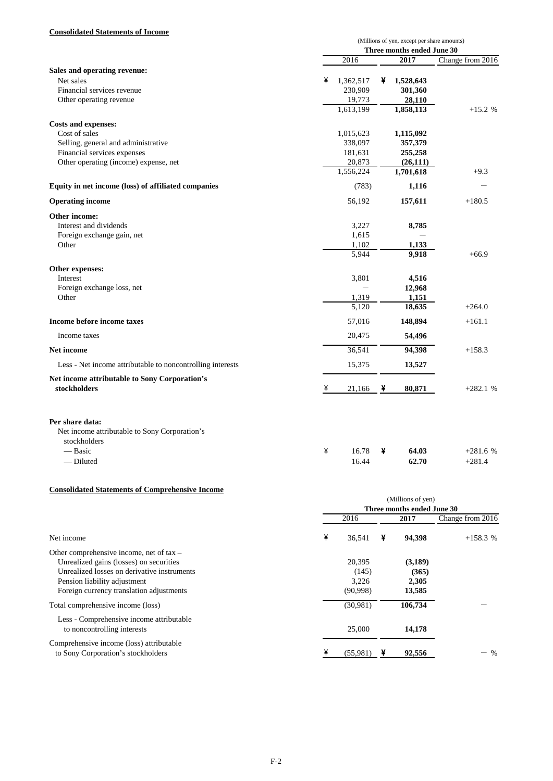#### **Consolidated Statements of Income**

| <u>Consondated Statements of Income</u>                       |                |                                             |                  |
|---------------------------------------------------------------|----------------|---------------------------------------------|------------------|
|                                                               |                | (Millions of yen, except per share amounts) |                  |
|                                                               |                | Three months ended June 30                  |                  |
|                                                               | 2016           | 2017                                        | Change from 2016 |
| Sales and operating revenue:                                  |                |                                             |                  |
| Net sales                                                     | ¥<br>1,362,517 | ¥<br>1,528,643                              |                  |
| Financial services revenue                                    | 230,909        | 301,360                                     |                  |
| Other operating revenue                                       | 19,773         | 28,110                                      |                  |
|                                                               | 1,613,199      | 1,858,113                                   | $+15.2%$         |
| <b>Costs and expenses:</b>                                    |                |                                             |                  |
| Cost of sales                                                 | 1,015,623      | 1,115,092                                   |                  |
| Selling, general and administrative                           | 338,097        | 357,379                                     |                  |
| Financial services expenses                                   | 181,631        | 255,258                                     |                  |
| Other operating (income) expense, net                         | 20,873         | (26, 111)                                   |                  |
|                                                               | 1,556,224      | 1,701,618                                   | $+9.3$           |
| Equity in net income (loss) of affiliated companies           | (783)          | 1,116                                       |                  |
| <b>Operating income</b>                                       | 56,192         | 157,611                                     | $+180.5$         |
| Other income:                                                 |                |                                             |                  |
| Interest and dividends                                        | 3,227          | 8,785                                       |                  |
| Foreign exchange gain, net                                    | 1,615          |                                             |                  |
| Other                                                         | 1,102          | 1,133                                       |                  |
|                                                               | 5,944          | 9,918                                       | $+66.9$          |
| Other expenses:                                               |                |                                             |                  |
| Interest                                                      | 3,801          | 4,516                                       |                  |
| Foreign exchange loss, net                                    |                | 12,968                                      |                  |
| Other                                                         | 1,319          | 1,151                                       |                  |
|                                                               | 5,120          | 18,635                                      | $+264.0$         |
| Income before income taxes                                    | 57,016         | 148,894                                     | $+161.1$         |
| Income taxes                                                  | 20,475         | 54,496                                      |                  |
| Net income                                                    | 36,541         | 94,398                                      | $+158.3$         |
| Less - Net income attributable to noncontrolling interests    | 15,375         | 13,527                                      |                  |
| Net income attributable to Sony Corporation's                 |                |                                             |                  |
| stockholders                                                  | ¥<br>21,166    | ¥<br>80,871                                 | $+282.1%$        |
| Per share data:<br>Not income ottain toble to Conv Compromise |                |                                             |                  |

| Net income attributable to Sony Corporation's |                |       |           |
|-----------------------------------------------|----------------|-------|-----------|
| stockholders                                  |                |       |           |
| — Basic                                       | 16.78 $\bm{Y}$ | 64.03 | $+281.6%$ |
| — Diluted                                     | 16.44          | 62.70 | $+281.4$  |

| — Diluted | 16.44 | 62.70 | $+281.4$ |
|-----------|-------|-------|----------|
|           |       |       |          |

### **Consolidated Statements of Comprehensive Income**

| Consonuated Blatements of Comprenensive income                          |               | (Millions of yen)          |                  |  |  |
|-------------------------------------------------------------------------|---------------|----------------------------|------------------|--|--|
|                                                                         |               | Three months ended June 30 |                  |  |  |
|                                                                         | 2016          | 2017                       | Change from 2016 |  |  |
| Net income                                                              | ¥<br>36,541   | ¥<br>94,398                | $+158.3%$        |  |  |
| Other comprehensive income, net of $tax -$                              |               |                            |                  |  |  |
| Unrealized gains (losses) on securities                                 | 20,395        | (3,189)                    |                  |  |  |
| Unrealized losses on derivative instruments                             | (145)         | (365)                      |                  |  |  |
| Pension liability adjustment                                            | 3,226         | 2,305                      |                  |  |  |
| Foreign currency translation adjustments                                | (90,998)      | 13,585                     |                  |  |  |
| Total comprehensive income (loss)                                       | (30,981)      | 106,734                    |                  |  |  |
| Less - Comprehensive income attributable<br>to noncontrolling interests | 25,000        | 14,178                     |                  |  |  |
| Comprehensive income (loss) attributable                                |               |                            |                  |  |  |
| to Sony Corporation's stockholders                                      | ¥<br>(55,981) | 92,556                     | $-$ %            |  |  |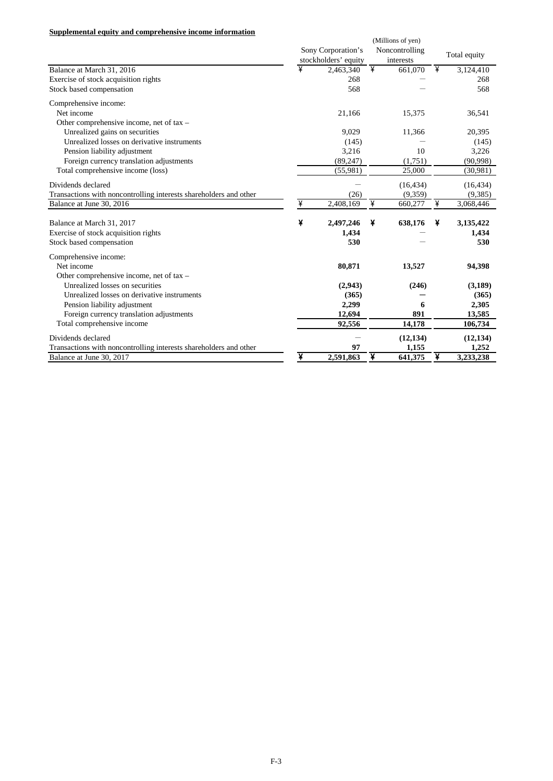### **Supplemental equity and comprehensive income information**

| зирренентат едину ани сопіргенензіvе пісопіе пітогніатіон                                     |   | Sony Corporation's<br>stockholders' equity |   | (Millions of yen)<br>Noncontrolling<br>interests |   | Total equity              |
|-----------------------------------------------------------------------------------------------|---|--------------------------------------------|---|--------------------------------------------------|---|---------------------------|
| Balance at March 31, 2016                                                                     | ¥ | 2,463,340                                  | ¥ | 661,070                                          | ¥ | 3,124,410                 |
| Exercise of stock acquisition rights                                                          |   | 268                                        |   |                                                  |   | 268                       |
| Stock based compensation                                                                      |   | 568                                        |   |                                                  |   | 568                       |
| Comprehensive income:                                                                         |   |                                            |   |                                                  |   |                           |
| Net income                                                                                    |   | 21,166                                     |   | 15,375                                           |   | 36,541                    |
| Other comprehensive income, net of tax -                                                      |   |                                            |   |                                                  |   |                           |
| Unrealized gains on securities                                                                |   | 9,029                                      |   | 11,366                                           |   | 20,395                    |
| Unrealized losses on derivative instruments                                                   |   | (145)                                      |   |                                                  |   | (145)                     |
| Pension liability adjustment                                                                  |   | 3,216                                      |   | 10                                               |   | 3,226                     |
| Foreign currency translation adjustments                                                      |   | (89, 247)                                  |   | (1,751)                                          |   | (90, 998)                 |
| Total comprehensive income (loss)                                                             |   | (55,981)                                   |   | 25,000                                           |   | (30,981)                  |
| Dividends declared                                                                            |   |                                            |   | (16, 434)                                        |   | (16, 434)                 |
| Transactions with noncontrolling interests shareholders and other                             |   | (26)                                       |   | (9,359)                                          |   | (9,385)                   |
| Balance at June 30, 2016                                                                      | ¥ | 2,408,169                                  | ¥ | 660,277                                          | ¥ | 3,068,446                 |
| Balance at March 31, 2017<br>Exercise of stock acquisition rights<br>Stock based compensation | ¥ | 2,497,246<br>1,434<br>530                  | ¥ | 638,176                                          | ¥ | 3,135,422<br>1,434<br>530 |
| Comprehensive income:<br>Net income<br>Other comprehensive income, net of tax -               |   | 80,871                                     |   | 13,527                                           |   | 94,398                    |
| Unrealized losses on securities                                                               |   | (2,943)                                    |   | (246)                                            |   | (3,189)                   |
| Unrealized losses on derivative instruments                                                   |   | (365)                                      |   |                                                  |   | (365)                     |
| Pension liability adjustment                                                                  |   | 2,299                                      |   | 6                                                |   | 2,305                     |
| Foreign currency translation adjustments                                                      |   | 12,694                                     |   | 891                                              |   | 13,585                    |
| Total comprehensive income                                                                    |   | 92,556                                     |   | 14,178                                           |   | 106,734                   |
| Dividends declared                                                                            |   |                                            |   | (12, 134)                                        |   | (12, 134)                 |
| Transactions with noncontrolling interests shareholders and other                             |   | 97                                         |   | 1,155                                            |   | 1,252                     |
| Balance at June 30, 2017                                                                      | ¥ | 2,591,863                                  | ¥ | 641,375                                          | ¥ | 3,233,238                 |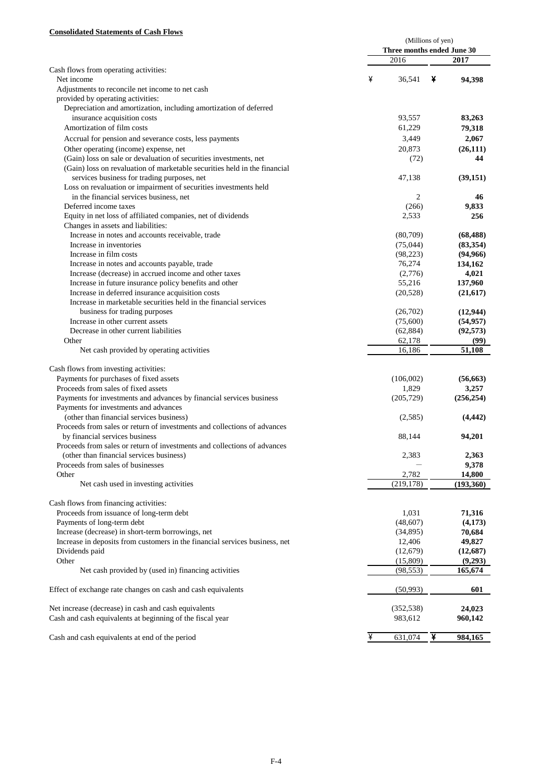#### **Consolidated Statements of Cash Flows**

|                                                                                                                   | (Millions of yen) |                            |   |            |  |  |
|-------------------------------------------------------------------------------------------------------------------|-------------------|----------------------------|---|------------|--|--|
|                                                                                                                   |                   | Three months ended June 30 |   |            |  |  |
|                                                                                                                   |                   | 2016                       |   | 2017       |  |  |
| Cash flows from operating activities:                                                                             |                   |                            |   |            |  |  |
| Net income<br>Adjustments to reconcile net income to net cash                                                     | ¥                 | 36,541                     | ¥ | 94,398     |  |  |
| provided by operating activities:                                                                                 |                   |                            |   |            |  |  |
| Depreciation and amortization, including amortization of deferred                                                 |                   |                            |   |            |  |  |
| insurance acquisition costs                                                                                       |                   | 93,557                     |   | 83,263     |  |  |
| Amortization of film costs                                                                                        |                   | 61,229                     |   | 79,318     |  |  |
| Accrual for pension and severance costs, less payments                                                            |                   | 3,449                      |   | 2,067      |  |  |
| Other operating (income) expense, net                                                                             |                   | 20,873                     |   | (26, 111)  |  |  |
| (Gain) loss on sale or devaluation of securities investments, net                                                 |                   | (72)                       |   | 44         |  |  |
| (Gain) loss on revaluation of marketable securities held in the financial                                         |                   |                            |   |            |  |  |
| services business for trading purposes, net                                                                       |                   | 47,138                     |   | (39, 151)  |  |  |
| Loss on revaluation or impairment of securities investments held                                                  |                   |                            |   |            |  |  |
| in the financial services business, net                                                                           |                   | $\overline{c}$             |   | 46         |  |  |
| Deferred income taxes                                                                                             |                   | (266)                      |   | 9,833      |  |  |
| Equity in net loss of affiliated companies, net of dividends                                                      |                   | 2,533                      |   | 256        |  |  |
| Changes in assets and liabilities:                                                                                |                   |                            |   |            |  |  |
| Increase in notes and accounts receivable, trade                                                                  |                   | (80,709)                   |   | (68, 488)  |  |  |
| Increase in inventories                                                                                           |                   | (75,044)                   |   | (83, 354)  |  |  |
| Increase in film costs                                                                                            |                   | (98, 223)                  |   | (94, 966)  |  |  |
| Increase in notes and accounts payable, trade                                                                     |                   | 76,274                     |   | 134,162    |  |  |
| Increase (decrease) in accrued income and other taxes                                                             |                   | (2,776)                    |   | 4,021      |  |  |
| Increase in future insurance policy benefits and other                                                            |                   | 55,216                     |   | 137,960    |  |  |
| Increase in deferred insurance acquisition costs                                                                  |                   | (20,528)                   |   | (21,617)   |  |  |
| Increase in marketable securities held in the financial services                                                  |                   |                            |   |            |  |  |
| business for trading purposes                                                                                     |                   | (26,702)                   |   | (12, 944)  |  |  |
| Increase in other current assets                                                                                  |                   | (75,600)                   |   | (54, 957)  |  |  |
| Decrease in other current liabilities                                                                             |                   | (62, 884)                  |   | (92, 573)  |  |  |
| Other                                                                                                             |                   | 62,178                     |   | (99)       |  |  |
| Net cash provided by operating activities                                                                         |                   | 16,186                     |   | 51,108     |  |  |
| Cash flows from investing activities:                                                                             |                   |                            |   |            |  |  |
| Payments for purchases of fixed assets                                                                            |                   | (106,002)                  |   | (56, 663)  |  |  |
| Proceeds from sales of fixed assets                                                                               |                   | 1,829                      |   | 3,257      |  |  |
| Payments for investments and advances by financial services business                                              |                   | (205, 729)                 |   | (256, 254) |  |  |
| Payments for investments and advances                                                                             |                   |                            |   |            |  |  |
| (other than financial services business)                                                                          |                   | (2,585)                    |   | (4, 442)   |  |  |
| Proceeds from sales or return of investments and collections of advances                                          |                   |                            |   |            |  |  |
| by financial services business                                                                                    |                   | 88,144                     |   | 94,201     |  |  |
| Proceeds from sales or return of investments and collections of advances                                          |                   |                            |   |            |  |  |
| (other than financial services business)                                                                          |                   | 2,383                      |   | 2,363      |  |  |
| Proceeds from sales of businesses                                                                                 |                   |                            |   | 9,378      |  |  |
| Other                                                                                                             |                   | 2,782                      |   | 14,800     |  |  |
| Net cash used in investing activities                                                                             |                   | (219, 178)                 |   | (193, 360) |  |  |
| Cash flows from financing activities:                                                                             |                   |                            |   |            |  |  |
| Proceeds from issuance of long-term debt                                                                          |                   | 1,031                      |   | 71,316     |  |  |
| Payments of long-term debt                                                                                        |                   | (48, 607)                  |   | (4,173)    |  |  |
| Increase (decrease) in short-term borrowings, net                                                                 |                   | (34, 895)                  |   | 70,684     |  |  |
| Increase in deposits from customers in the financial services business, net                                       |                   | 12,406                     |   | 49,827     |  |  |
| Dividends paid                                                                                                    |                   | (12,679)                   |   | (12, 687)  |  |  |
| Other                                                                                                             |                   | (15,809)                   |   | (9,293)    |  |  |
| Net cash provided by (used in) financing activities                                                               |                   | (98, 553)                  |   | 165,674    |  |  |
| Effect of exchange rate changes on cash and cash equivalents                                                      |                   | (50, 993)                  |   | 601        |  |  |
|                                                                                                                   |                   |                            |   | 24,023     |  |  |
| Net increase (decrease) in cash and cash equivalents<br>Cash and cash equivalents at beginning of the fiscal year |                   | (352, 538)<br>983,612      |   | 960,142    |  |  |
|                                                                                                                   |                   |                            |   |            |  |  |
| Cash and cash equivalents at end of the period                                                                    | ¥                 | 631,074                    | ¥ | 984,165    |  |  |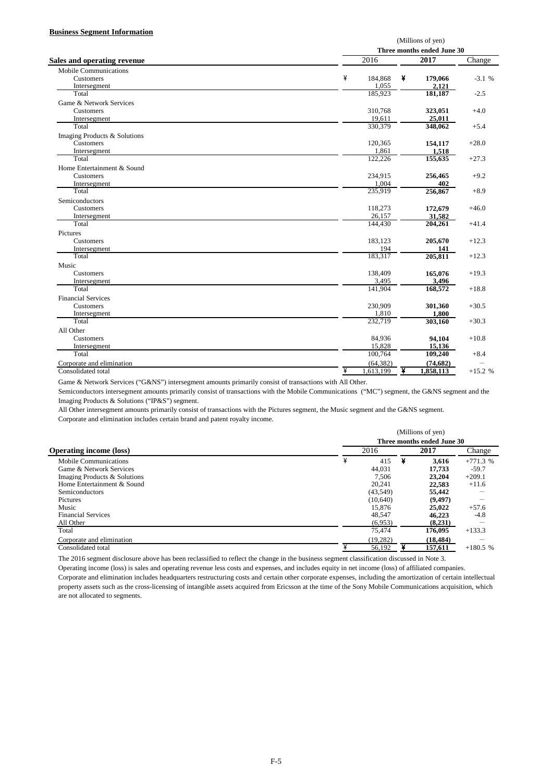#### **Business Segment Information**

|                              |                  | (Millions of yen)<br>Three months ended June 30 |                  |          |  |  |  |  |  |  |  |
|------------------------------|------------------|-------------------------------------------------|------------------|----------|--|--|--|--|--|--|--|
|                              |                  |                                                 |                  |          |  |  |  |  |  |  |  |
| Sales and operating revenue  | 2016             |                                                 | 2017             | Change   |  |  |  |  |  |  |  |
| <b>Mobile Communications</b> |                  |                                                 |                  |          |  |  |  |  |  |  |  |
| Customers                    | ¥<br>184,868     | ¥                                               | 179,066          | $-3.1%$  |  |  |  |  |  |  |  |
| Intersegment                 | 1,055            |                                                 | 2.121            |          |  |  |  |  |  |  |  |
| Total                        | 185,923          |                                                 | 181,187          | $-2.5$   |  |  |  |  |  |  |  |
| Game & Network Services      |                  |                                                 |                  |          |  |  |  |  |  |  |  |
| Customers                    | 310,768          |                                                 | 323,051          | $+4.0$   |  |  |  |  |  |  |  |
| Intersegment                 | 19,611           |                                                 | 25,011           |          |  |  |  |  |  |  |  |
| Total                        | 330,379          |                                                 | 348,062          | $+5.4$   |  |  |  |  |  |  |  |
| Imaging Products & Solutions |                  |                                                 |                  |          |  |  |  |  |  |  |  |
| Customers                    | 120,365          |                                                 | 154,117          | $+28.0$  |  |  |  |  |  |  |  |
| Intersegment                 | 1,861            |                                                 | 1,518            |          |  |  |  |  |  |  |  |
| Total                        | 122,226          |                                                 | 155,635          | $+27.3$  |  |  |  |  |  |  |  |
| Home Entertainment & Sound   |                  |                                                 |                  |          |  |  |  |  |  |  |  |
| Customers                    | 234,915          |                                                 | 256,465          | $+9.2$   |  |  |  |  |  |  |  |
| Intersegment                 | 1.004            |                                                 | 402              |          |  |  |  |  |  |  |  |
| Total                        | 235,919          |                                                 | 256,867          | $+8.9$   |  |  |  |  |  |  |  |
| Semiconductors               |                  |                                                 |                  |          |  |  |  |  |  |  |  |
| Customers                    | 118,273          |                                                 | 172,679          | $+46.0$  |  |  |  |  |  |  |  |
| Intersegment                 | 26,157           |                                                 | 31,582           |          |  |  |  |  |  |  |  |
| Total                        | 144,430          |                                                 | 204,261          | $+41.4$  |  |  |  |  |  |  |  |
| Pictures                     |                  |                                                 |                  |          |  |  |  |  |  |  |  |
| Customers                    | 183,123          |                                                 | 205,670          | $+12.3$  |  |  |  |  |  |  |  |
| Intersegment                 | 194              |                                                 | 141              |          |  |  |  |  |  |  |  |
| Total                        | 183,317          |                                                 | 205,811          | $+12.3$  |  |  |  |  |  |  |  |
| Music                        |                  |                                                 |                  |          |  |  |  |  |  |  |  |
| Customers                    | 138,409          |                                                 | 165,076          | $+19.3$  |  |  |  |  |  |  |  |
|                              | 3,495            |                                                 |                  |          |  |  |  |  |  |  |  |
| Intersegment<br>Total        | 141,904          |                                                 | 3,496<br>168,572 | $+18.8$  |  |  |  |  |  |  |  |
|                              |                  |                                                 |                  |          |  |  |  |  |  |  |  |
| <b>Financial Services</b>    |                  |                                                 |                  |          |  |  |  |  |  |  |  |
| Customers                    | 230.909          |                                                 | 301,360          | $+30.5$  |  |  |  |  |  |  |  |
| Intersegment<br>Total        | 1,810<br>232,719 |                                                 | 1,800            | $+30.3$  |  |  |  |  |  |  |  |
|                              |                  |                                                 | 303,160          |          |  |  |  |  |  |  |  |
| All Other                    |                  |                                                 |                  |          |  |  |  |  |  |  |  |
| <b>Customers</b>             | 84,936           |                                                 | 94,104           | $+10.8$  |  |  |  |  |  |  |  |
| Intersegment                 | 15,828           |                                                 | 15,136           |          |  |  |  |  |  |  |  |
| Total                        | 100,764          |                                                 | 109,240          | $+8.4$   |  |  |  |  |  |  |  |
| Corporate and elimination    | (64, 382)        |                                                 | (74, 682)        |          |  |  |  |  |  |  |  |
| Consolidated total           | ¥<br>1,613,199   | ¥                                               | 1.858.113        | $+15.2%$ |  |  |  |  |  |  |  |

Game & Network Services ("G&NS") intersegment amounts primarily consist of transactions with All Other.

Semiconductors intersegment amounts primarily consist of transactions with the Mobile Communications ("MC") segment, the G&NS segment and the Imaging Products & Solutions ("IP&S") segment.

All Other intersegment amounts primarily consist of transactions with the Pictures segment, the Music segment and the G&NS segment. Corporate and elimination includes certain brand and patent royalty income.

|                                | (Millions of yen)<br>Three months ended June 30 |   |          |           |  |  |  |  |  |  |
|--------------------------------|-------------------------------------------------|---|----------|-----------|--|--|--|--|--|--|
| <b>Operating income (loss)</b> | 2016                                            |   | 2017     | Change    |  |  |  |  |  |  |
| Mobile Communications          | 415                                             | ¥ | 3.616    | $+771.3%$ |  |  |  |  |  |  |
| Game & Network Services        | 44.031                                          |   | 17.733   | $-59.7$   |  |  |  |  |  |  |
| Imaging Products & Solutions   | 7.506                                           |   | 23.204   | $+209.1$  |  |  |  |  |  |  |
| Home Entertainment & Sound     | 20.241                                          |   | 22,583   | $+11.6$   |  |  |  |  |  |  |
| <b>Semiconductors</b>          | (43,549)                                        |   | 55,442   |           |  |  |  |  |  |  |
| Pictures                       | (10.640)                                        |   | (9.497)  |           |  |  |  |  |  |  |
| Music                          | 15.876                                          |   | 25,022   | $+57.6$   |  |  |  |  |  |  |
| <b>Financial Services</b>      | 48,547                                          |   | 46.223   | $-4.8$    |  |  |  |  |  |  |
| All Other                      | (6.953)                                         |   | (8,231)  |           |  |  |  |  |  |  |
| Total                          | 75.474                                          |   | 176,095  | $+133.3$  |  |  |  |  |  |  |
| Corporate and elimination      | (19.282)                                        |   | (18.484) |           |  |  |  |  |  |  |
| Consolidated total             | 56,192                                          |   | 157.611  | $+180.5%$ |  |  |  |  |  |  |

The 2016 segment disclosure above has been reclassified to reflect the change in the business segment classification discussed in Note 3.

Operating income (loss) is sales and operating revenue less costs and expenses, and includes equity in net income (loss) of affiliated companies. Corporate and elimination includes headquarters restructuring costs and certain other corporate expenses, including the amortization of certain intellectual property assets such as the cross-licensing of intangible assets acquired from Ericsson at the time of the Sony Mobile Communications acquisition, which are not allocated to segments.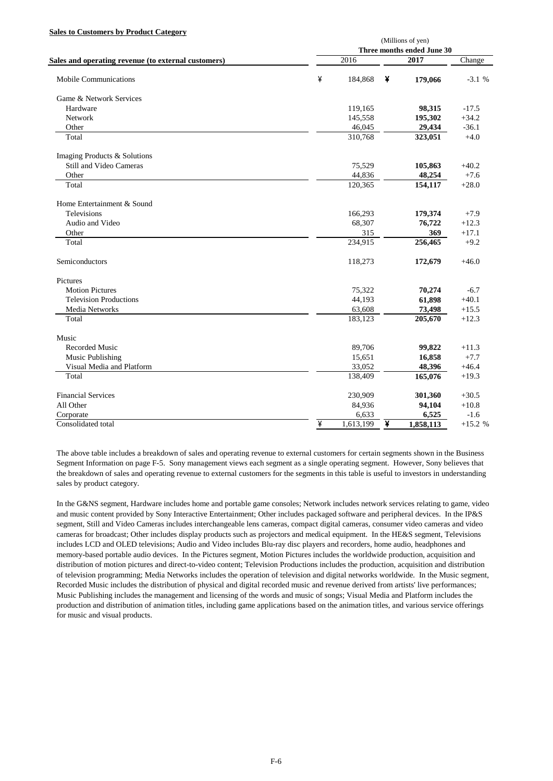#### **Sales to Customers by Product Category**

|                                                     | (Millions of yen)<br>Three months ended June 30 |           |   |           |          |  |  |  |  |  |
|-----------------------------------------------------|-------------------------------------------------|-----------|---|-----------|----------|--|--|--|--|--|
| Sales and operating revenue (to external customers) |                                                 | 2016      |   | 2017      | Change   |  |  |  |  |  |
|                                                     |                                                 |           |   |           |          |  |  |  |  |  |
| <b>Mobile Communications</b>                        | ¥                                               | 184,868   | ¥ | 179,066   | $-3.1%$  |  |  |  |  |  |
| Game & Network Services                             |                                                 |           |   |           |          |  |  |  |  |  |
| Hardware                                            |                                                 | 119,165   |   | 98,315    | $-17.5$  |  |  |  |  |  |
| Network                                             |                                                 | 145,558   |   | 195,302   | $+34.2$  |  |  |  |  |  |
| Other                                               |                                                 | 46,045    |   | 29,434    | $-36.1$  |  |  |  |  |  |
| Total                                               |                                                 | 310,768   |   | 323,051   | $+4.0$   |  |  |  |  |  |
| Imaging Products & Solutions                        |                                                 |           |   |           |          |  |  |  |  |  |
| Still and Video Cameras                             |                                                 | 75,529    |   | 105,863   | $+40.2$  |  |  |  |  |  |
| Other                                               |                                                 | 44,836    |   | 48,254    | $+7.6$   |  |  |  |  |  |
| Total                                               |                                                 | 120,365   |   | 154,117   | $+28.0$  |  |  |  |  |  |
| Home Entertainment & Sound                          |                                                 |           |   |           |          |  |  |  |  |  |
| <b>Televisions</b>                                  |                                                 | 166,293   |   | 179,374   | $+7.9$   |  |  |  |  |  |
| Audio and Video                                     |                                                 | 68,307    |   | 76,722    | $+12.3$  |  |  |  |  |  |
| Other                                               |                                                 | 315       |   | 369       | $+17.1$  |  |  |  |  |  |
| Total                                               |                                                 | 234,915   |   | 256,465   | $+9.2$   |  |  |  |  |  |
| Semiconductors                                      |                                                 | 118,273   |   | 172,679   | $+46.0$  |  |  |  |  |  |
| <b>Pictures</b>                                     |                                                 |           |   |           |          |  |  |  |  |  |
| <b>Motion Pictures</b>                              |                                                 | 75,322    |   | 70,274    | $-6.7$   |  |  |  |  |  |
| <b>Television Productions</b>                       |                                                 | 44,193    |   | 61,898    | $+40.1$  |  |  |  |  |  |
| Media Networks                                      |                                                 | 63,608    |   | 73,498    | $+15.5$  |  |  |  |  |  |
| Total                                               |                                                 | 183,123   |   | 205,670   | $+12.3$  |  |  |  |  |  |
| Music                                               |                                                 |           |   |           |          |  |  |  |  |  |
| Recorded Music                                      |                                                 | 89,706    |   | 99,822    | $+11.3$  |  |  |  |  |  |
| Music Publishing                                    |                                                 | 15,651    |   | 16,858    | $+7.7$   |  |  |  |  |  |
| Visual Media and Platform                           |                                                 | 33,052    |   | 48,396    | $+46.4$  |  |  |  |  |  |
| Total                                               |                                                 | 138,409   |   | 165,076   | $+19.3$  |  |  |  |  |  |
| <b>Financial Services</b>                           |                                                 | 230,909   |   | 301,360   | $+30.5$  |  |  |  |  |  |
| All Other                                           |                                                 | 84,936    |   | 94,104    | $+10.8$  |  |  |  |  |  |
| Corporate                                           |                                                 | 6,633     |   | 6,525     | $-1.6$   |  |  |  |  |  |
| Consolidated total                                  | ¥                                               | 1,613,199 | ¥ | 1,858,113 | $+15.2%$ |  |  |  |  |  |

The above table includes a breakdown of sales and operating revenue to external customers for certain segments shown in the Business Segment Information on page F-5. Sony management views each segment as a single operating segment. However, Sony believes that the breakdown of sales and operating revenue to external customers for the segments in this table is useful to investors in understanding sales by product category.

In the G&NS segment, Hardware includes home and portable game consoles; Network includes network services relating to game, video and music content provided by Sony Interactive Entertainment; Other includes packaged software and peripheral devices. In the IP&S segment, Still and Video Cameras includes interchangeable lens cameras, compact digital cameras, consumer video cameras and video cameras for broadcast; Other includes display products such as projectors and medical equipment. In the HE&S segment, Televisions includes LCD and OLED televisions; Audio and Video includes Blu-ray disc players and recorders, home audio, headphones and memory-based portable audio devices. In the Pictures segment, Motion Pictures includes the worldwide production, acquisition and distribution of motion pictures and direct-to-video content; Television Productions includes the production, acquisition and distribution of television programming; Media Networks includes the operation of television and digital networks worldwide. In the Music segment, Recorded Music includes the distribution of physical and digital recorded music and revenue derived from artists' live performances; Music Publishing includes the management and licensing of the words and music of songs; Visual Media and Platform includes the production and distribution of animation titles, including game applications based on the animation titles, and various service offerings for music and visual products.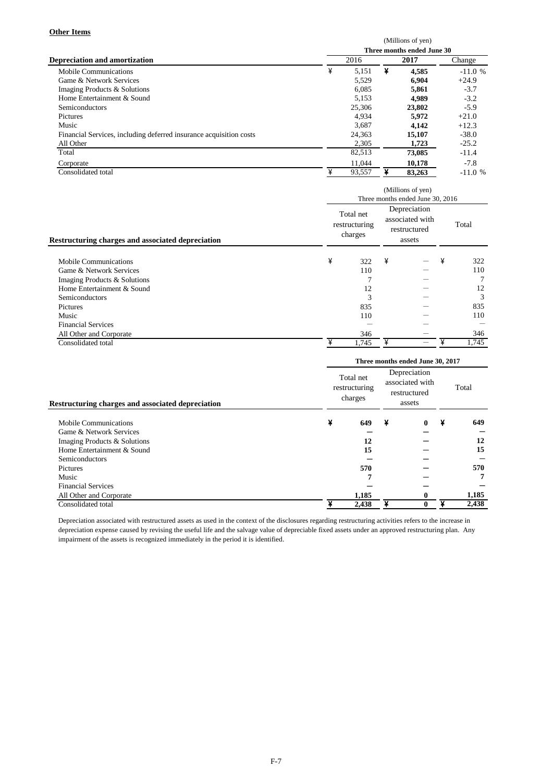#### **Other Items**

|                                                                    |                            | (Millions of yen) |   |        |          |  |  |  |  |  |  |  |
|--------------------------------------------------------------------|----------------------------|-------------------|---|--------|----------|--|--|--|--|--|--|--|
|                                                                    | Three months ended June 30 |                   |   |        |          |  |  |  |  |  |  |  |
| <b>Depreciation and amortization</b>                               |                            | 2016              |   | 2017   | Change   |  |  |  |  |  |  |  |
| Mobile Communications                                              | ¥                          | 5,151             | ¥ | 4,585  | $-11.0%$ |  |  |  |  |  |  |  |
| Game & Network Services                                            |                            | 5,529             |   | 6.904  | $+24.9$  |  |  |  |  |  |  |  |
| Imaging Products & Solutions                                       |                            | 6.085             |   | 5,861  | $-3.7$   |  |  |  |  |  |  |  |
| Home Entertainment & Sound                                         |                            | 5,153             |   | 4.989  | $-3.2$   |  |  |  |  |  |  |  |
| Semiconductors                                                     |                            | 25,306            |   | 23,802 | $-5.9$   |  |  |  |  |  |  |  |
| Pictures                                                           |                            | 4.934             |   | 5.972  | $+21.0$  |  |  |  |  |  |  |  |
| Music                                                              |                            | 3,687             |   | 4.142  | $+12.3$  |  |  |  |  |  |  |  |
| Financial Services, including deferred insurance acquisition costs |                            | 24,363            |   | 15,107 | $-38.0$  |  |  |  |  |  |  |  |
| All Other                                                          |                            | 2,305             |   | 1,723  | $-25.2$  |  |  |  |  |  |  |  |
| Total                                                              |                            | 82,513            |   | 73,085 | $-11.4$  |  |  |  |  |  |  |  |
| Corporate                                                          |                            | 11.044            |   | 10,178 | $-7.8$   |  |  |  |  |  |  |  |
| Consolidated total                                                 | ¥                          | 93,557            |   | 83,263 | $-11.0%$ |  |  |  |  |  |  |  |

|                                                   |   | (Millions of yen)<br>Three months ended June 30, 2016 |   |                                                           |   |       |  |  |  |  |  |
|---------------------------------------------------|---|-------------------------------------------------------|---|-----------------------------------------------------------|---|-------|--|--|--|--|--|
| Restructuring charges and associated depreciation |   | Total net<br>restructuring<br>charges                 |   | Depreciation<br>associated with<br>restructured<br>assets |   | Total |  |  |  |  |  |
| Mobile Communications                             | ¥ | 322                                                   | ¥ |                                                           | ¥ | 322   |  |  |  |  |  |
| Game & Network Services                           |   | 110                                                   |   |                                                           |   | 110   |  |  |  |  |  |
| Imaging Products & Solutions                      |   | ⇁                                                     |   |                                                           |   |       |  |  |  |  |  |
| Home Entertainment & Sound                        |   | 12                                                    |   |                                                           |   | 12    |  |  |  |  |  |
| Semiconductors                                    |   | 3                                                     |   |                                                           |   | 3     |  |  |  |  |  |
| Pictures                                          |   | 835                                                   |   |                                                           |   | 835   |  |  |  |  |  |
| Music                                             |   | 110                                                   |   |                                                           |   | 110   |  |  |  |  |  |
| <b>Financial Services</b>                         |   |                                                       |   |                                                           |   |       |  |  |  |  |  |
| All Other and Corporate                           |   | 346                                                   |   |                                                           |   | 346   |  |  |  |  |  |
| Consolidated total                                | ¥ | 1,745                                                 | ¥ |                                                           |   | 1,745 |  |  |  |  |  |
|                                                   |   | <b>m</b> 1.                                           |   | Three months ended June 30, 2017<br>Depreciation          |   |       |  |  |  |  |  |

|                                                          |   | 1.m ee montms chucu sunc oot 2017     |   |                                                           |   |       |  |  |  |  |  |  |
|----------------------------------------------------------|---|---------------------------------------|---|-----------------------------------------------------------|---|-------|--|--|--|--|--|--|
| <b>Restructuring charges and associated depreciation</b> |   | Total net<br>restructuring<br>charges |   | Depreciation<br>associated with<br>restructured<br>assets |   | Total |  |  |  |  |  |  |
| Mobile Communications                                    | ¥ | 649                                   | ¥ | 0                                                         | ¥ | 649   |  |  |  |  |  |  |
| Game & Network Services                                  |   |                                       |   |                                                           |   |       |  |  |  |  |  |  |
| Imaging Products & Solutions                             |   | 12                                    |   |                                                           |   | 12    |  |  |  |  |  |  |
| Home Entertainment & Sound                               |   | 15                                    |   |                                                           |   | 15    |  |  |  |  |  |  |
| Semiconductors                                           |   |                                       |   |                                                           |   |       |  |  |  |  |  |  |
| Pictures                                                 |   | 570                                   |   |                                                           |   | 570   |  |  |  |  |  |  |
| Music                                                    |   |                                       |   |                                                           |   | 7     |  |  |  |  |  |  |
| <b>Financial Services</b>                                |   |                                       |   |                                                           |   |       |  |  |  |  |  |  |
| All Other and Corporate                                  |   | 1,185                                 |   | 0                                                         |   | 1,185 |  |  |  |  |  |  |
| Consolidated total                                       |   | 2,438                                 | ¥ | $\bf{0}$                                                  |   | 2,438 |  |  |  |  |  |  |

Depreciation associated with restructured assets as used in the context of the disclosures regarding restructuring activities refers to the increase in depreciation expense caused by revising the useful life and the salvage value of depreciable fixed assets under an approved restructuring plan. Any impairment of the assets is recognized immediately in the period it is identified.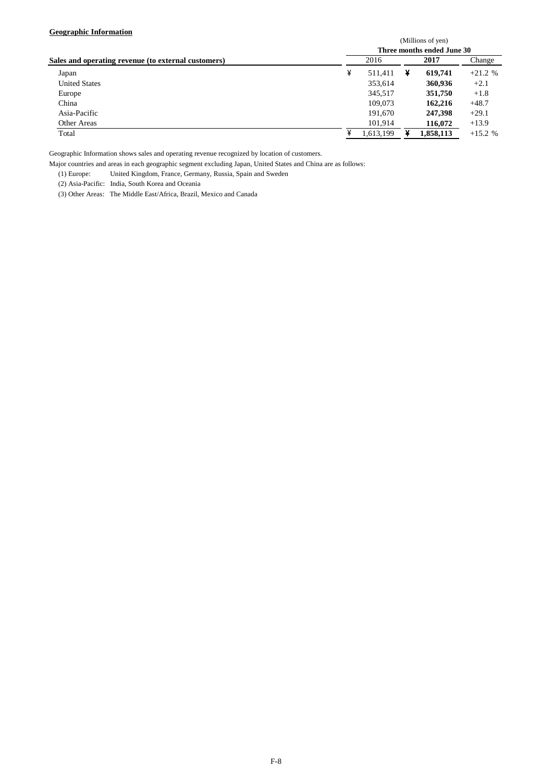### **Geographic Information**

|                                                     | (Millions of yen)<br>Three months ended June 30 |           |   |           |          |  |  |  |  |  |  |
|-----------------------------------------------------|-------------------------------------------------|-----------|---|-----------|----------|--|--|--|--|--|--|
| Sales and operating revenue (to external customers) |                                                 | 2016      |   | 2017      | Change   |  |  |  |  |  |  |
| Japan                                               | ¥                                               | 511,411   | ¥ | 619.741   | $+21.2%$ |  |  |  |  |  |  |
| <b>United States</b>                                |                                                 | 353.614   |   | 360,936   | $+2.1$   |  |  |  |  |  |  |
| Europe                                              |                                                 | 345,517   |   | 351,750   | $+1.8$   |  |  |  |  |  |  |
| China                                               |                                                 | 109,073   |   | 162,216   | $+48.7$  |  |  |  |  |  |  |
| Asia-Pacific                                        |                                                 | 191.670   |   | 247,398   | $+29.1$  |  |  |  |  |  |  |
| Other Areas                                         |                                                 | 101.914   |   | 116.072   | $+13.9$  |  |  |  |  |  |  |
| Total                                               |                                                 | 1,613,199 |   | 1,858,113 | $+15.2%$ |  |  |  |  |  |  |

Geographic Information shows sales and operating revenue recognized by location of customers.

Major countries and areas in each geographic segment excluding Japan, United States and China are as follows:

(1) Europe: United Kingdom, France, Germany, Russia, Spain and Sweden

(2) Asia-Pacific: India, South Korea and Oceania

(3) Other Areas: The Middle East/Africa, Brazil, Mexico and Canada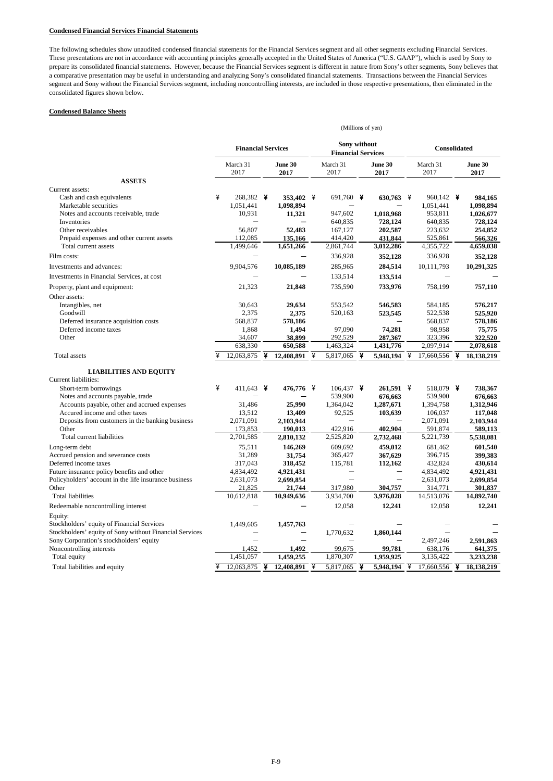#### **Condensed Financial Services Financial Statements**

The following schedules show unaudited condensed financial statements for the Financial Services segment and all other segments excluding Financial Services. These presentations are not in accordance with accounting principles generally accepted in the United States of America ("U.S. GAAP"), which is used by Sony to prepare its consolidated financial statements. However, because the Financial Services segment is different in nature from Sony's other segments, Sony believes that a comparative presentation may be useful in understanding and analyzing Sony's consolidated financial statements. Transactions between the Financial Services segment and Sony without the Financial Services segment, including noncontrolling interests, are included in those respective presentations, then eliminated in the consolidated figures shown below.

(Millions of yen)

#### **Condensed Balance Sheets**

|                                                         | <b>Financial Services</b> |                       |   |                 |   | Sony without<br><b>Financial Services</b> |   |                 | Consolidated |                  |   |                 |
|---------------------------------------------------------|---------------------------|-----------------------|---|-----------------|---|-------------------------------------------|---|-----------------|--------------|------------------|---|-----------------|
|                                                         |                           | March 31<br>2017      |   | June 30<br>2017 |   | March 31<br>2017                          |   | June 30<br>2017 |              | March 31<br>2017 |   | June 30<br>2017 |
| <b>ASSETS</b>                                           |                           |                       |   |                 |   |                                           |   |                 |              |                  |   |                 |
| Current assets:                                         |                           |                       |   |                 |   |                                           |   |                 |              |                  |   |                 |
| Cash and cash equivalents                               | ¥                         | 268.382 ¥             |   | 353,402 ¥       |   | 691.760 ¥                                 |   | $630.763$ ¥     |              | 960.142 ¥        |   | 984.165         |
| Marketable securities                                   |                           | 1,051,441             |   | 1,098,894       |   |                                           |   |                 |              | 1,051,441        |   | 1,098,894       |
| Notes and accounts receivable, trade                    |                           | 10,931                |   | 11,321          |   | 947,602                                   |   | 1,018,968       |              | 953,811          |   | 1,026,677       |
| Inventories                                             |                           |                       |   |                 |   | 640,835                                   |   | 728,124         |              | 640,835          |   | 728,124         |
| Other receivables                                       |                           | 56,807                |   | 52,483          |   | 167,127                                   |   | 202,587         |              | 223,632          |   | 254,852         |
| Prepaid expenses and other current assets               |                           | 112,085               |   | 135,166         |   | 414,420                                   |   | 431,844         |              | 525,861          |   | 566,326         |
| Total current assets                                    |                           | 1,499,646             |   | 1,651,266       |   | 2,861,744                                 |   | 3,012,286       |              | 4,355,722        |   | 4,659,038       |
| Film costs:                                             |                           |                       |   |                 |   | 336,928                                   |   | 352,128         |              | 336,928          |   | 352,128         |
| Investments and advances:                               |                           | 9,904,576             |   | 10,085,189      |   | 285,965                                   |   | 284,514         |              | 10,111,793       |   | 10,291,325      |
| Investments in Financial Services, at cost              |                           |                       |   |                 |   | 133,514                                   |   | 133,514         |              |                  |   |                 |
| Property, plant and equipment:                          |                           | 21,323                |   | 21,848          |   | 735,590                                   |   | 733,976         |              | 758,199          |   | 757,110         |
| Other assets:                                           |                           |                       |   |                 |   |                                           |   |                 |              |                  |   |                 |
| Intangibles, net                                        |                           | 30.643                |   | 29.634          |   | 553.542                                   |   | 546.583         |              | 584,185          |   | 576,217         |
| Goodwill                                                |                           | 2,375                 |   | 2,375           |   | 520,163                                   |   | 523,545         |              | 522,538          |   | 525,920         |
| Deferred insurance acquisition costs                    |                           | 568,837               |   | 578,186         |   |                                           |   |                 |              | 568,837          |   | 578,186         |
| Deferred income taxes                                   |                           | 1,868                 |   | 1,494           |   | 97,090                                    |   | 74,281          |              | 98,958           |   | 75,775          |
| Other                                                   |                           | 34,607                |   | 38,899          |   | 292,529                                   |   | 287,367         |              | 323,396          |   | 322,520         |
|                                                         |                           | 638,330               |   | 650,588         |   | 1,463,324                                 |   | 1,431,776       |              | 2,097,914        |   | 2,078,618       |
| Total assets                                            |                           | 12,063,875            | ¥ | 12,408,891      | ¥ | 5,817,065                                 | ¥ | 5,948,194       | ¥            | 17,660,556       | ¥ | 18,138,219      |
| <b>LIABILITIES AND EQUITY</b>                           |                           |                       |   |                 |   |                                           |   |                 |              |                  |   |                 |
| Current liabilities:                                    |                           |                       |   |                 |   |                                           |   |                 |              |                  |   |                 |
| Short-term borrowings                                   | ¥                         | 411,643 $\frac{1}{2}$ |   | 476,776 ¥       |   | 106,437 ¥                                 |   | 261,591 ¥       |              | 518,079 ¥        |   | 738,367         |
| Notes and accounts payable, trade                       |                           |                       |   |                 |   | 539,900                                   |   | 676,663         |              | 539,900          |   | 676,663         |
| Accounts payable, other and accrued expenses            |                           | 31,486                |   | 25,990          |   | 1,364,042                                 |   | 1,287,671       |              | 1,394,758        |   | 1,312,946       |
| Accured income and other taxes                          |                           | 13,512                |   | 13,409          |   | 92,525                                    |   | 103,639         |              | 106,037          |   | 117,048         |
| Deposits from customers in the banking business         |                           | 2,071,091             |   | 2,103,944       |   |                                           |   |                 |              | 2,071,091        |   | 2,103,944       |
| Other                                                   |                           | 173,853               |   | 190,013         |   | 422,916                                   |   | 402,904         |              | 591,874          |   | 589,113         |
| Total current liabilities                               |                           | 2,701,585             |   | 2,810,132       |   | 2,525,820                                 |   | 2,732,468       |              | 5,221,739        |   | 5,538,081       |
| Long-term debt                                          |                           | 75,511                |   | 146,269         |   | 609,692                                   |   | 459,012         |              | 681,462          |   | 601,540         |
| Accrued pension and severance costs                     |                           | 31,289                |   | 31,754          |   | 365,427                                   |   | 367,629         |              | 396,715          |   | 399,383         |
| Deferred income taxes                                   |                           | 317,043               |   | 318,452         |   | 115,781                                   |   | 112,162         |              | 432,824          |   | 430,614         |
| Future insurance policy benefits and other              |                           | 4,834,492             |   | 4,921,431       |   |                                           |   |                 |              | 4,834,492        |   | 4,921,431       |
| Policyholders' account in the life insurance business   |                           | 2,631,073             |   | 2,699,854       |   | $\equiv$                                  |   | ▃               |              | 2,631,073        |   | 2,699,854       |
| Other                                                   |                           | 21,825                |   | 21,744          |   | 317,980                                   |   | 304,757         |              | 314,771          |   | 301,837         |
| <b>Total liabilities</b>                                |                           | 10,612,818            |   | 10,949,636      |   | 3.934.700                                 |   | 3,976,028       |              | 14,513,076       |   | 14,892,740      |
| Redeemable noncontrolling interest                      |                           |                       |   |                 |   | 12,058                                    |   | 12,241          |              | 12,058           |   | 12,241          |
| Equity:                                                 |                           |                       |   |                 |   |                                           |   |                 |              |                  |   |                 |
| Stockholders' equity of Financial Services              |                           | 1,449,605             |   | 1,457,763       |   |                                           |   |                 |              |                  |   |                 |
| Stockholders' equity of Sony without Financial Services |                           |                       |   |                 |   | 1,770,632                                 |   | 1,860,144       |              |                  |   |                 |
| Sony Corporation's stockholders' equity                 |                           |                       |   |                 |   |                                           |   |                 |              | 2,497,246        |   | 2,591,863       |
| Noncontrolling interests                                |                           | 1,452                 |   | 1,492           |   | 99.675                                    |   | 99.781          |              | 638,176          |   | 641,375         |
| Total equity                                            |                           | 1,451,057             |   | 1,459,255       |   | 1,870,307                                 |   | 1,959,925       |              | 3,135,422        |   | 3,233,238       |
| Total liabilities and equity                            | ¥                         | 12,063,875            | ¥ | 12,408,891      | ¥ | 5,817,065                                 | ¥ | 5,948,194       | ¥            | 17,660,556       | ¥ | 18,138,219      |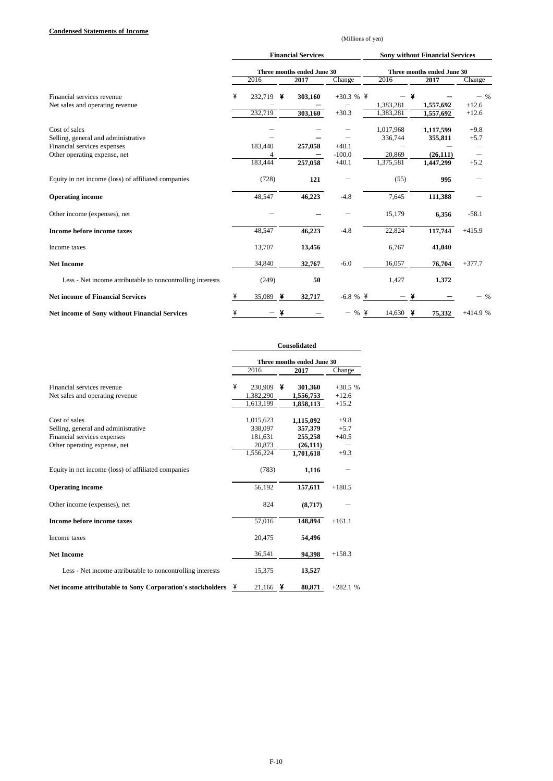#### **Condensed Statements of Income**

#### (Millions of yen)

|                                                            |   |         |   | <b>Financial Services</b>  |           | <b>Sony without Financial Services</b> |   |           |           |  |  |  |
|------------------------------------------------------------|---|---------|---|----------------------------|-----------|----------------------------------------|---|-----------|-----------|--|--|--|
|                                                            |   |         |   | Three months ended June 30 |           | Three months ended June 30             |   |           |           |  |  |  |
|                                                            |   | 2016    |   | 2017                       | Change    | 2016                                   |   | 2017      | Change    |  |  |  |
| Financial services revenue                                 | ¥ | 232,719 | ¥ | 303,160                    | $+30.3 %$ |                                        |   |           | $-$ %     |  |  |  |
| Net sales and operating revenue                            |   |         |   |                            |           | 1,383,281                              |   | 1,557,692 | $+12.6$   |  |  |  |
|                                                            |   | 232,719 |   | 303,160                    | $+30.3$   | 1,383,281                              |   | 1,557,692 | $+12.6$   |  |  |  |
| Cost of sales                                              |   |         |   |                            |           | 1,017,968                              |   | 1,117,599 | $+9.8$    |  |  |  |
| Selling, general and administrative                        |   |         |   |                            |           | 336,744                                |   | 355,811   | $+5.7$    |  |  |  |
| Financial services expenses                                |   | 183,440 |   | 257,058                    | $+40.1$   |                                        |   |           |           |  |  |  |
| Other operating expense, net                               |   |         |   |                            | $-100.0$  | 20,869                                 |   | (26, 111) |           |  |  |  |
|                                                            |   | 183,444 |   | 257,058                    | $+40.1$   | 1,375,581                              |   | 1,447,299 | $+5.2$    |  |  |  |
| Equity in net income (loss) of affiliated companies        |   | (728)   |   | 121                        |           | (55)                                   |   | 995       |           |  |  |  |
| <b>Operating income</b>                                    |   | 48,547  |   | 46,223                     | $-4.8$    | 7,645                                  |   | 111,388   |           |  |  |  |
| Other income (expenses), net                               |   |         |   |                            |           | 15,179                                 |   | 6,356     | $-58.1$   |  |  |  |
| Income before income taxes                                 |   | 48,547  |   | 46,223                     | $-4.8$    | 22,824                                 |   | 117,744   | $+415.9$  |  |  |  |
| Income taxes                                               |   | 13,707  |   | 13,456                     |           | 6,767                                  |   | 41,040    |           |  |  |  |
| <b>Net Income</b>                                          |   | 34,840  |   | 32,767                     | $-6.0$    | 16,057                                 |   | 76,704    | $+377.7$  |  |  |  |
| Less - Net income attributable to noncontrolling interests |   | (249)   |   | 50                         |           | 1,427                                  |   | 1,372     |           |  |  |  |
| <b>Net income of Financial Services</b>                    |   | 35,089  | ¥ | 32,717                     | $-6.8 \%$ |                                        | ¥ |           | $-$ %     |  |  |  |
| <b>Net income of Sony without Financial Services</b>       | ¥ | —       | ¥ |                            | $-$ % \;  | 14,630                                 | ¥ | 75,332    | $+414.9%$ |  |  |  |

|                                                            | <b>Consolidated</b> |           |   |                            |           |  |  |  |  |
|------------------------------------------------------------|---------------------|-----------|---|----------------------------|-----------|--|--|--|--|
|                                                            |                     |           |   | Three months ended June 30 |           |  |  |  |  |
|                                                            |                     | 2016      |   | 2017                       | Change    |  |  |  |  |
| Financial services revenue                                 | ¥                   | 230,909   | ¥ | 301,360                    | $+30.5%$  |  |  |  |  |
| Net sales and operating revenue                            |                     | 1,382,290 |   | 1,556,753                  | $+12.6$   |  |  |  |  |
|                                                            |                     | 1,613,199 |   | 1,858,113                  | $+15.2$   |  |  |  |  |
| Cost of sales                                              |                     | 1,015,623 |   | 1,115,092                  | $+9.8$    |  |  |  |  |
| Selling, general and administrative                        |                     | 338,097   |   | 357,379                    | $+5.7$    |  |  |  |  |
| Financial services expenses                                |                     | 181,631   |   | 255,258                    | $+40.5$   |  |  |  |  |
| Other operating expense, net                               |                     | 20,873    |   | (26, 111)                  |           |  |  |  |  |
|                                                            |                     | 1,556,224 |   | 1,701,618                  | $+9.3$    |  |  |  |  |
| Equity in net income (loss) of affiliated companies        |                     | (783)     |   | 1,116                      |           |  |  |  |  |
| <b>Operating income</b>                                    |                     | 56,192    |   | 157.611                    | $+180.5$  |  |  |  |  |
| Other income (expenses), net                               |                     | 824       |   | (8,717)                    |           |  |  |  |  |
| Income before income taxes                                 |                     | 57.016    |   | 148,894                    | $+161.1$  |  |  |  |  |
| Income taxes                                               |                     | 20,475    |   | 54,496                     |           |  |  |  |  |
| <b>Net Income</b>                                          |                     | 36,541    |   | 94,398                     | $+158.3$  |  |  |  |  |
| Less - Net income attributable to noncontrolling interests |                     | 15,375    |   | 13,527                     |           |  |  |  |  |
| Net income attributable to Sony Corporation's stockholders | ¥                   | 21,166    | ¥ | 80.871                     | $+282.1%$ |  |  |  |  |

#### F-10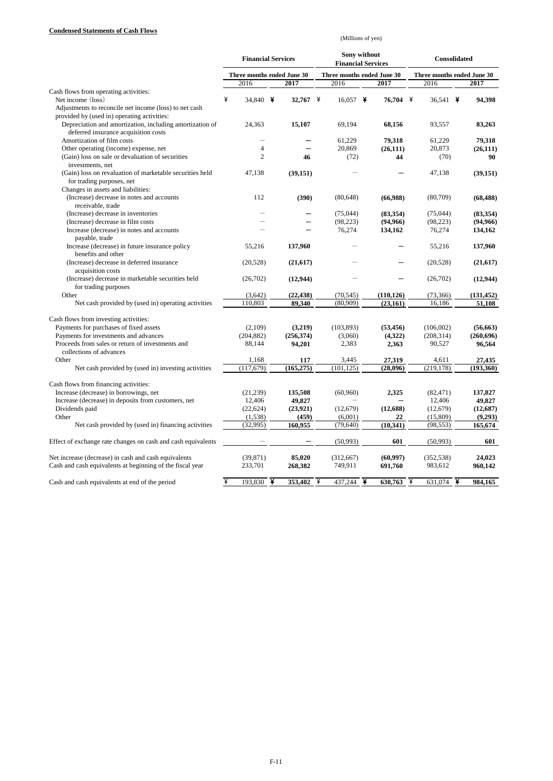#### **Condensed Statements of Cash Flows**

(Millions of yen)

|                                                                                       | <b>Financial Services</b> |                          |   |                                    | Sony without<br><b>Financial Services</b> |   |            |   | Consolidated                       |   |            |  |
|---------------------------------------------------------------------------------------|---------------------------|--------------------------|---|------------------------------------|-------------------------------------------|---|------------|---|------------------------------------|---|------------|--|
|                                                                                       |                           | 2016                     |   | Three months ended June 30<br>2017 | Three months ended June 30<br>2016        |   | 2017       |   | Three months ended June 30<br>2016 |   | 2017       |  |
| Cash flows from operating activities:                                                 |                           |                          |   |                                    |                                           |   |            |   |                                    |   |            |  |
| Net income (loss)                                                                     | ¥                         | 34,840 ¥                 |   | 32,767 ¥                           | 16,057 $\frac{1}{2}$                      |   | 76,704 ¥   |   | 36,541 ¥                           |   | 94,398     |  |
| Adjustments to reconcile net income (loss) to net cash                                |                           |                          |   |                                    |                                           |   |            |   |                                    |   |            |  |
| provided by (used in) operating activities:                                           |                           |                          |   |                                    |                                           |   |            |   |                                    |   |            |  |
| Depreciation and amortization, including amortization of                              |                           | 24,363                   |   | 15,107                             | 69,194                                    |   | 68,156     |   | 93,557                             |   | 83,263     |  |
| deferred insurance acquisition costs                                                  |                           |                          |   |                                    |                                           |   |            |   |                                    |   |            |  |
| Amortization of film costs                                                            |                           | $\overline{\phantom{0}}$ |   |                                    | 61,229                                    |   | 79,318     |   | 61,229                             |   | 79,318     |  |
| Other operating (income) expense, net                                                 |                           | $\overline{4}$           |   | $\overline{\phantom{0}}$           | 20,869                                    |   | (26, 111)  |   | 20,873                             |   | (26, 111)  |  |
| (Gain) loss on sale or devaluation of securities<br>investments, net                  |                           | $\overline{c}$           |   | 46                                 | (72)                                      |   | 44         |   | (70)                               |   | 90         |  |
| (Gain) loss on revaluation of marketable securities held<br>for trading purposes, net |                           | 47.138                   |   | (39, 151)                          |                                           |   |            |   | 47.138                             |   | (39, 151)  |  |
| Changes in assets and liabilities:                                                    |                           |                          |   |                                    |                                           |   |            |   |                                    |   |            |  |
| (Increase) decrease in notes and accounts                                             |                           | 112                      |   | (390)                              | (80, 648)                                 |   | (66,988)   |   | (80,709)                           |   | (68, 488)  |  |
| receivable, trade                                                                     |                           |                          |   |                                    |                                           |   |            |   |                                    |   |            |  |
| (Increase) decrease in inventories                                                    |                           |                          |   |                                    | (75,044)                                  |   | (83,354)   |   | (75,044)                           |   | (83, 354)  |  |
| (Increase) decrease in film costs                                                     |                           |                          |   | —                                  | (98, 223)                                 |   | (94, 966)  |   | (98, 223)                          |   | (94, 966)  |  |
| Increase (decrease) in notes and accounts<br>payable, trade                           |                           |                          |   | $\overline{\phantom{0}}$           | 76,274                                    |   | 134,162    |   | 76,274                             |   | 134,162    |  |
| Increase (decrease) in future insurance policy<br>benefits and other                  |                           | 55,216                   |   | 137,960                            |                                           |   |            |   | 55,216                             |   | 137,960    |  |
| (Increase) decrease in deferred insurance<br>acquisition costs                        |                           | (20, 528)                |   | (21, 617)                          |                                           |   |            |   | (20,528)                           |   | (21, 617)  |  |
| (Increase) decrease in marketable securities held<br>for trading purposes             |                           | (26,702)                 |   | (12, 944)                          |                                           |   |            |   | (26,702)                           |   | (12, 944)  |  |
| Other                                                                                 |                           | (3,642)                  |   | (22, 438)                          | (70, 545)                                 |   | (110, 126) |   | (73, 366)                          |   | (131, 452) |  |
| Net cash provided by (used in) operating activities                                   |                           | 110,803                  |   | 89,340                             | (80,909)                                  |   | (23, 161)  |   | 16,186                             |   | 51,108     |  |
|                                                                                       |                           |                          |   |                                    |                                           |   |            |   |                                    |   |            |  |
| Cash flows from investing activities:                                                 |                           |                          |   |                                    |                                           |   |            |   |                                    |   |            |  |
| Payments for purchases of fixed assets                                                |                           | (2,109)                  |   | (3,219)                            | (103, 893)                                |   | (53, 456)  |   | (106,002)                          |   | (56, 663)  |  |
| Payments for investments and advances                                                 |                           | (204, 882)               |   | (256, 374)                         | (3,060)                                   |   | (4,322)    |   | (208, 314)                         |   | (260, 696) |  |
| Proceeds from sales or return of investments and<br>collections of advances           |                           | 88,144                   |   | 94,201                             | 2,383                                     |   | 2,363      |   | 90,527                             |   | 96,564     |  |
| Other                                                                                 |                           | 1,168                    |   | 117                                | 3,445                                     |   | 27,319     |   | 4,611                              |   | 27,435     |  |
| Net cash provided by (used in) investing activities                                   |                           | (117, 679)               |   | (165, 275)                         | (101, 125)                                |   | (28,096)   |   | (219, 178)                         |   | (193, 360) |  |
|                                                                                       |                           |                          |   |                                    |                                           |   |            |   |                                    |   |            |  |
| Cash flows from financing activities:                                                 |                           |                          |   |                                    |                                           |   |            |   |                                    |   |            |  |
| Increase (decrease) in borrowings, net                                                |                           | (21, 239)                |   | 135,508                            | (60, 960)                                 |   | 2,325      |   | (82, 471)                          |   | 137,827    |  |
| Increase (decrease) in deposits from customers, net                                   |                           | 12,406                   |   | 49,827                             |                                           |   |            |   | 12,406                             |   | 49,827     |  |
| Dividends paid                                                                        |                           | (22, 624)                |   | (23,921)                           | (12, 679)                                 |   | (12, 688)  |   | (12, 679)                          |   | (12, 687)  |  |
| Other                                                                                 |                           | (1, 538)                 |   | (459)                              | (6,001)                                   |   | 22         |   | (15,809)                           |   | (9,293)    |  |
| Net cash provided by (used in) financing activities                                   |                           | (32,995)                 |   | 160,955                            | (79, 640)                                 |   | (10, 341)  |   | (98, 553)                          |   | 165,674    |  |
| Effect of exchange rate changes on cash and cash equivalents                          |                           |                          |   |                                    | (50, 993)                                 |   | 601        |   | (50, 993)                          |   | 601        |  |
| Net increase (decrease) in cash and cash equivalents                                  |                           | (39, 871)                |   | 85,020                             | (312,667)                                 |   | (60, 997)  |   | (352, 538)                         |   | 24,023     |  |
| Cash and cash equivalents at beginning of the fiscal year                             |                           | 233,701                  |   | 268,382                            | 749,911                                   |   | 691,760    |   | 983,612                            |   | 960,142    |  |
| Cash and cash equivalents at end of the period                                        | ¥                         | 193,830                  | ¥ | 353,402                            | 437,244                                   | ¥ | 630,763    | ¥ | 631,074                            | ¥ | 984,165    |  |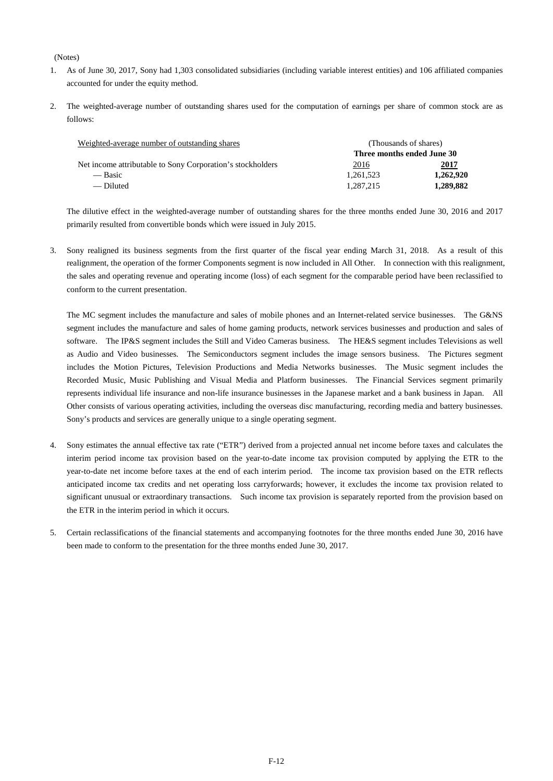#### (Notes)

- 1. As of June 30, 2017, Sony had 1,303 consolidated subsidiaries (including variable interest entities) and 106 affiliated companies accounted for under the equity method.
- 2. The weighted-average number of outstanding shares used for the computation of earnings per share of common stock are as follows:

| Weighted-average number of outstanding shares              |                            | (Thousands of shares) |  |
|------------------------------------------------------------|----------------------------|-----------------------|--|
|                                                            | Three months ended June 30 |                       |  |
| Net income attributable to Sony Corporation's stockholders | 2016                       | 2017                  |  |
| — Basic                                                    | 1.261.523                  | 1.262.920             |  |
| — Diluted                                                  | 1.287.215                  | 1.289.882             |  |

The dilutive effect in the weighted-average number of outstanding shares for the three months ended June 30, 2016 and 2017 primarily resulted from convertible bonds which were issued in July 2015.

3. Sony realigned its business segments from the first quarter of the fiscal year ending March 31, 2018. As a result of this realignment, the operation of the former Components segment is now included in All Other. In connection with this realignment, the sales and operating revenue and operating income (loss) of each segment for the comparable period have been reclassified to conform to the current presentation.

The MC segment includes the manufacture and sales of mobile phones and an Internet-related service businesses. The G&NS segment includes the manufacture and sales of home gaming products, network services businesses and production and sales of software. The IP&S segment includes the Still and Video Cameras business. The HE&S segment includes Televisions as well as Audio and Video businesses. The Semiconductors segment includes the image sensors business. The Pictures segment includes the Motion Pictures, Television Productions and Media Networks businesses. The Music segment includes the Recorded Music, Music Publishing and Visual Media and Platform businesses. The Financial Services segment primarily represents individual life insurance and non-life insurance businesses in the Japanese market and a bank business in Japan. All Other consists of various operating activities, including the overseas disc manufacturing, recording media and battery businesses. Sony's products and services are generally unique to a single operating segment.

- 4. Sony estimates the annual effective tax rate ("ETR") derived from a projected annual net income before taxes and calculates the interim period income tax provision based on the year-to-date income tax provision computed by applying the ETR to the year-to-date net income before taxes at the end of each interim period. The income tax provision based on the ETR reflects anticipated income tax credits and net operating loss carryforwards; however, it excludes the income tax provision related to significant unusual or extraordinary transactions. Such income tax provision is separately reported from the provision based on the ETR in the interim period in which it occurs.
- 5. Certain reclassifications of the financial statements and accompanying footnotes for the three months ended June 30, 2016 have been made to conform to the presentation for the three months ended June 30, 2017.